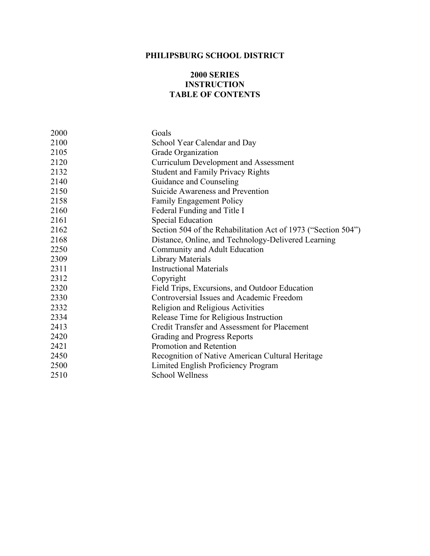# **PHILIPSBURG SCHOOL DISTRICT**

#### **2000 SERIES INSTRUCTION TABLE OF CONTENTS**

| 2000 | Goals                                                         |
|------|---------------------------------------------------------------|
| 2100 | School Year Calendar and Day                                  |
| 2105 | Grade Organization                                            |
| 2120 | <b>Curriculum Development and Assessment</b>                  |
| 2132 | <b>Student and Family Privacy Rights</b>                      |
| 2140 | Guidance and Counseling                                       |
| 2150 | Suicide Awareness and Prevention                              |
| 2158 | <b>Family Engagement Policy</b>                               |
| 2160 | Federal Funding and Title I                                   |
| 2161 | <b>Special Education</b>                                      |
| 2162 | Section 504 of the Rehabilitation Act of 1973 ("Section 504") |
| 2168 | Distance, Online, and Technology-Delivered Learning           |
| 2250 | Community and Adult Education                                 |
| 2309 | <b>Library Materials</b>                                      |
| 2311 | <b>Instructional Materials</b>                                |
| 2312 | Copyright                                                     |
| 2320 | Field Trips, Excursions, and Outdoor Education                |
| 2330 | Controversial Issues and Academic Freedom                     |
| 2332 | Religion and Religious Activities                             |
| 2334 | Release Time for Religious Instruction                        |
| 2413 | <b>Credit Transfer and Assessment for Placement</b>           |
| 2420 | <b>Grading and Progress Reports</b>                           |
| 2421 | Promotion and Retention                                       |
| 2450 | Recognition of Native American Cultural Heritage              |
| 2500 | Limited English Proficiency Program                           |
| 2510 | <b>School Wellness</b>                                        |
|      |                                                               |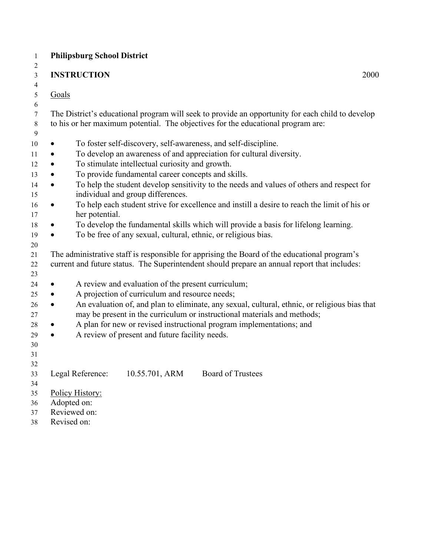| <b>Philipsburg School District</b> |                                                                                                                                                                                                                                                                                                                                                                                                                                                                                                                                                                                                                      |
|------------------------------------|----------------------------------------------------------------------------------------------------------------------------------------------------------------------------------------------------------------------------------------------------------------------------------------------------------------------------------------------------------------------------------------------------------------------------------------------------------------------------------------------------------------------------------------------------------------------------------------------------------------------|
| <b>INSTRUCTION</b>                 | 2000                                                                                                                                                                                                                                                                                                                                                                                                                                                                                                                                                                                                                 |
| Goals                              |                                                                                                                                                                                                                                                                                                                                                                                                                                                                                                                                                                                                                      |
|                                    |                                                                                                                                                                                                                                                                                                                                                                                                                                                                                                                                                                                                                      |
|                                    | to his or her maximum potential. The objectives for the educational program are:                                                                                                                                                                                                                                                                                                                                                                                                                                                                                                                                     |
|                                    |                                                                                                                                                                                                                                                                                                                                                                                                                                                                                                                                                                                                                      |
|                                    | To develop an awareness of and appreciation for cultural diversity.                                                                                                                                                                                                                                                                                                                                                                                                                                                                                                                                                  |
|                                    |                                                                                                                                                                                                                                                                                                                                                                                                                                                                                                                                                                                                                      |
|                                    |                                                                                                                                                                                                                                                                                                                                                                                                                                                                                                                                                                                                                      |
|                                    | To help the student develop sensitivity to the needs and values of others and respect for                                                                                                                                                                                                                                                                                                                                                                                                                                                                                                                            |
| her potential.                     | To help each student strive for excellence and instill a desire to reach the limit of his or                                                                                                                                                                                                                                                                                                                                                                                                                                                                                                                         |
|                                    | To develop the fundamental skills which will provide a basis for lifelong learning.                                                                                                                                                                                                                                                                                                                                                                                                                                                                                                                                  |
|                                    |                                                                                                                                                                                                                                                                                                                                                                                                                                                                                                                                                                                                                      |
|                                    | The administrative staff is responsible for apprising the Board of the educational program's<br>current and future status. The Superintendent should prepare an annual report that includes:                                                                                                                                                                                                                                                                                                                                                                                                                         |
|                                    |                                                                                                                                                                                                                                                                                                                                                                                                                                                                                                                                                                                                                      |
|                                    |                                                                                                                                                                                                                                                                                                                                                                                                                                                                                                                                                                                                                      |
|                                    | An evaluation of, and plan to eliminate, any sexual, cultural, ethnic, or religious bias that<br>may be present in the curriculum or instructional materials and methods;                                                                                                                                                                                                                                                                                                                                                                                                                                            |
|                                    | A plan for new or revised instructional program implementations; and                                                                                                                                                                                                                                                                                                                                                                                                                                                                                                                                                 |
|                                    |                                                                                                                                                                                                                                                                                                                                                                                                                                                                                                                                                                                                                      |
|                                    |                                                                                                                                                                                                                                                                                                                                                                                                                                                                                                                                                                                                                      |
|                                    |                                                                                                                                                                                                                                                                                                                                                                                                                                                                                                                                                                                                                      |
|                                    |                                                                                                                                                                                                                                                                                                                                                                                                                                                                                                                                                                                                                      |
|                                    | <b>Board of Trustees</b>                                                                                                                                                                                                                                                                                                                                                                                                                                                                                                                                                                                             |
|                                    |                                                                                                                                                                                                                                                                                                                                                                                                                                                                                                                                                                                                                      |
|                                    |                                                                                                                                                                                                                                                                                                                                                                                                                                                                                                                                                                                                                      |
| Reviewed on:                       |                                                                                                                                                                                                                                                                                                                                                                                                                                                                                                                                                                                                                      |
|                                    |                                                                                                                                                                                                                                                                                                                                                                                                                                                                                                                                                                                                                      |
|                                    | The District's educational program will seek to provide an opportunity for each child to develop<br>To foster self-discovery, self-awareness, and self-discipline.<br>To stimulate intellectual curiosity and growth.<br>To provide fundamental career concepts and skills.<br>individual and group differences.<br>To be free of any sexual, cultural, ethnic, or religious bias.<br>A review and evaluation of the present curriculum;<br>A projection of curriculum and resource needs;<br>A review of present and future facility needs.<br>Legal Reference:<br>10.55.701, ARM<br>Policy History:<br>Adopted on: |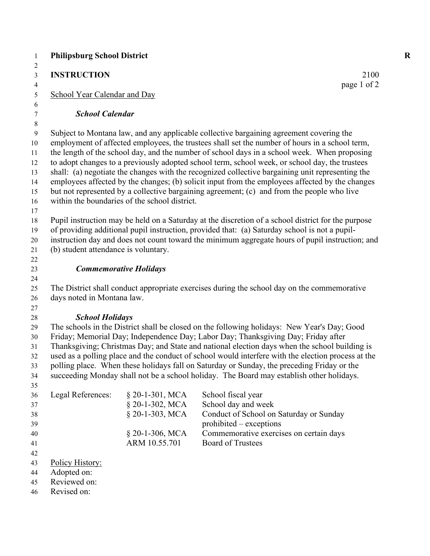| <b>INSTRUCTION</b>                   |                                               | 2100                                                                                               |
|--------------------------------------|-----------------------------------------------|----------------------------------------------------------------------------------------------------|
| School Year Calendar and Day         |                                               | page 1 of 2                                                                                        |
|                                      |                                               |                                                                                                    |
| <b>School Calendar</b>               |                                               |                                                                                                    |
|                                      |                                               | Subject to Montana law, and any applicable collective bargaining agreement covering the            |
|                                      |                                               | employment of affected employees, the trustees shall set the number of hours in a school term,     |
|                                      |                                               | the length of the school day, and the number of school days in a school week. When proposing       |
|                                      |                                               | to adopt changes to a previously adopted school term, school week, or school day, the trustees     |
|                                      |                                               | shall: (a) negotiate the changes with the recognized collective bargaining unit representing the   |
|                                      |                                               | employees affected by the changes; (b) solicit input from the employees affected by the changes    |
|                                      |                                               | but not represented by a collective bargaining agreement; (c) and from the people who live         |
|                                      | within the boundaries of the school district. |                                                                                                    |
|                                      |                                               | Pupil instruction may be held on a Saturday at the discretion of a school district for the purpose |
|                                      |                                               | of providing additional pupil instruction, provided that: (a) Saturday school is not a pupil-      |
|                                      |                                               | instruction day and does not count toward the minimum aggregate hours of pupil instruction; and    |
| (b) student attendance is voluntary. |                                               |                                                                                                    |
|                                      |                                               |                                                                                                    |
|                                      | <b>Commemorative Holidays</b>                 |                                                                                                    |
|                                      |                                               |                                                                                                    |
|                                      |                                               | The District shall conduct appropriate exercises during the school day on the commemorative        |
| days noted in Montana law.           |                                               |                                                                                                    |
|                                      |                                               |                                                                                                    |
| <b>School Holidays</b>               |                                               |                                                                                                    |
|                                      |                                               | The schools in the District shall be closed on the following holidays: New Year's Day; Good        |
|                                      |                                               | Friday; Memorial Day; Independence Day; Labor Day; Thanksgiving Day; Friday after                  |
|                                      |                                               | Thanksgiving; Christmas Day; and State and national election days when the school building is      |
|                                      |                                               | used as a polling place and the conduct of school would interfere with the election process at the |
|                                      |                                               | polling place. When these holidays fall on Saturday or Sunday, the preceding Friday or the         |
|                                      |                                               | succeeding Monday shall not be a school holiday. The Board may establish other holidays.           |
| Legal References:                    | $§$ 20-1-301, MCA                             | School fiscal year                                                                                 |
|                                      | § 20-1-302, MCA                               | School day and week                                                                                |
|                                      | § 20-1-303, MCA                               | Conduct of School on Saturday or Sunday                                                            |
|                                      |                                               | prohibited – exceptions                                                                            |
|                                      | § 20-1-306, MCA                               | Commemorative exercises on certain days                                                            |
|                                      | ARM 10.55.701                                 | <b>Board of Trustees</b>                                                                           |
|                                      |                                               |                                                                                                    |
| Policy History:                      |                                               |                                                                                                    |
| Adopted on:                          |                                               |                                                                                                    |
| Reviewed on:                         |                                               |                                                                                                    |
| Revised on:                          |                                               |                                                                                                    |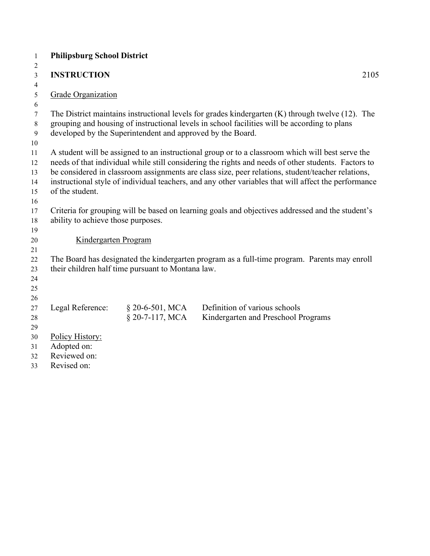| $\mathbf{1}$ | <b>Philipsburg School District</b> |                                                            |                                                                                                       |      |
|--------------|------------------------------------|------------------------------------------------------------|-------------------------------------------------------------------------------------------------------|------|
| 2            |                                    |                                                            |                                                                                                       |      |
| 3            | <b>INSTRUCTION</b>                 |                                                            |                                                                                                       | 2105 |
| 4            |                                    |                                                            |                                                                                                       |      |
| 5            | Grade Organization                 |                                                            |                                                                                                       |      |
| 6            |                                    |                                                            |                                                                                                       |      |
| 7            |                                    |                                                            | The District maintains instructional levels for grades kindergarten $(K)$ through twelve $(12)$ . The |      |
| 8            |                                    |                                                            | grouping and housing of instructional levels in school facilities will be according to plans          |      |
| 9            |                                    | developed by the Superintendent and approved by the Board. |                                                                                                       |      |
| 10<br>11     |                                    |                                                            | A student will be assigned to an instructional group or to a classroom which will best serve the      |      |
| 12           |                                    |                                                            | needs of that individual while still considering the rights and needs of other students. Factors to   |      |
| 13           |                                    |                                                            | be considered in classroom assignments are class size, peer relations, student/teacher relations,     |      |
| 14           |                                    |                                                            | instructional style of individual teachers, and any other variables that will affect the performance  |      |
| 15           | of the student.                    |                                                            |                                                                                                       |      |
| 16           |                                    |                                                            |                                                                                                       |      |
| 17           |                                    |                                                            | Criteria for grouping will be based on learning goals and objectives addressed and the student's      |      |
| 18           | ability to achieve those purposes. |                                                            |                                                                                                       |      |
| 19           |                                    |                                                            |                                                                                                       |      |
| 20           | Kindergarten Program               |                                                            |                                                                                                       |      |
| 21           |                                    |                                                            |                                                                                                       |      |
| 22           |                                    |                                                            | The Board has designated the kindergarten program as a full-time program. Parents may enroll          |      |
| 23           |                                    | their children half time pursuant to Montana law.          |                                                                                                       |      |
| 24           |                                    |                                                            |                                                                                                       |      |
| 25           |                                    |                                                            |                                                                                                       |      |
| 26           |                                    |                                                            |                                                                                                       |      |
| 27           | Legal Reference:                   | $§$ 20-6-501, MCA<br>$§$ 20-7-117, MCA                     | Definition of various schools                                                                         |      |
| 28           |                                    |                                                            | Kindergarten and Preschool Programs                                                                   |      |
| 29<br>30     | Policy History:                    |                                                            |                                                                                                       |      |
| 31           | Adopted on:                        |                                                            |                                                                                                       |      |
| 32           | Reviewed on:                       |                                                            |                                                                                                       |      |
| 33           | Revised on:                        |                                                            |                                                                                                       |      |
|              |                                    |                                                            |                                                                                                       |      |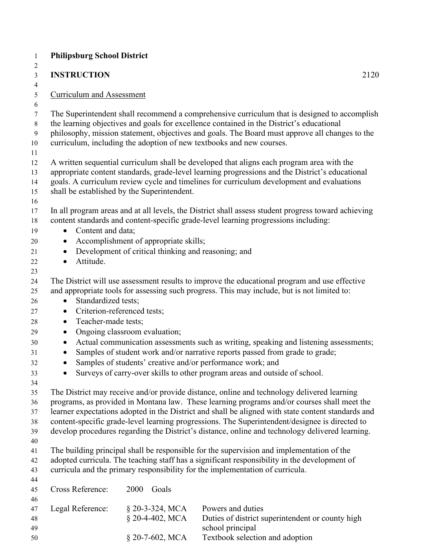| $\mathbf{1}$                      | <b>Philipsburg School District</b>                                                                                                                                                                                                                                                                                                       |                                                                                              |                                                                                                                                                                                                                                                                                                                                                                                                                                                                                                      |  |  |
|-----------------------------------|------------------------------------------------------------------------------------------------------------------------------------------------------------------------------------------------------------------------------------------------------------------------------------------------------------------------------------------|----------------------------------------------------------------------------------------------|------------------------------------------------------------------------------------------------------------------------------------------------------------------------------------------------------------------------------------------------------------------------------------------------------------------------------------------------------------------------------------------------------------------------------------------------------------------------------------------------------|--|--|
| 2<br>3                            | <b>INSTRUCTION</b>                                                                                                                                                                                                                                                                                                                       |                                                                                              | 2120                                                                                                                                                                                                                                                                                                                                                                                                                                                                                                 |  |  |
| $\overline{4}$<br>$\sqrt{5}$<br>6 | <b>Curriculum and Assessment</b>                                                                                                                                                                                                                                                                                                         |                                                                                              |                                                                                                                                                                                                                                                                                                                                                                                                                                                                                                      |  |  |
| $\tau$<br>$8\,$<br>9<br>10<br>11  |                                                                                                                                                                                                                                                                                                                                          |                                                                                              | The Superintendent shall recommend a comprehensive curriculum that is designed to accomplish<br>the learning objectives and goals for excellence contained in the District's educational<br>philosophy, mission statement, objectives and goals. The Board must approve all changes to the<br>curriculum, including the adoption of new textbooks and new courses.                                                                                                                                   |  |  |
| 12<br>13<br>14<br>15<br>16        | A written sequential curriculum shall be developed that aligns each program area with the<br>appropriate content standards, grade-level learning progressions and the District's educational<br>goals. A curriculum review cycle and timelines for curriculum development and evaluations<br>shall be established by the Superintendent. |                                                                                              |                                                                                                                                                                                                                                                                                                                                                                                                                                                                                                      |  |  |
| 17<br>18<br>19                    | Content and data;<br>$\bullet$                                                                                                                                                                                                                                                                                                           |                                                                                              | In all program areas and at all levels, the District shall assess student progress toward achieving<br>content standards and content-specific grade-level learning progressions including:                                                                                                                                                                                                                                                                                                           |  |  |
| 20<br>21<br>22                    | $\bullet$<br>$\bullet$<br>Attitude.<br>$\bullet$                                                                                                                                                                                                                                                                                         | Accomplishment of appropriate skills;<br>Development of critical thinking and reasoning; and |                                                                                                                                                                                                                                                                                                                                                                                                                                                                                                      |  |  |
| 23<br>24<br>25<br>26<br>27<br>28  | Standardized tests;<br>$\bullet$<br>Criterion-referenced tests;<br>$\bullet$<br>Teacher-made tests;<br>$\bullet$                                                                                                                                                                                                                         |                                                                                              | The District will use assessment results to improve the educational program and use effective<br>and appropriate tools for assessing such progress. This may include, but is not limited to:                                                                                                                                                                                                                                                                                                         |  |  |
| 29<br>30<br>31<br>32<br>33<br>34  | $\bullet$<br>$\bullet$                                                                                                                                                                                                                                                                                                                   | Ongoing classroom evaluation;                                                                | Actual communication assessments such as writing, speaking and listening assessments;<br>Samples of student work and/or narrative reports passed from grade to grade;<br>Samples of students' creative and/or performance work; and<br>Surveys of carry-over skills to other program areas and outside of school.                                                                                                                                                                                    |  |  |
| 35<br>36<br>37<br>38<br>39<br>40  |                                                                                                                                                                                                                                                                                                                                          |                                                                                              | The District may receive and/or provide distance, online and technology delivered learning<br>programs, as provided in Montana law. These learning programs and/or courses shall meet the<br>learner expectations adopted in the District and shall be aligned with state content standards and<br>content-specific grade-level learning progressions. The Superintendent/designee is directed to<br>develop procedures regarding the District's distance, online and technology delivered learning. |  |  |
| 41<br>42<br>43<br>44              |                                                                                                                                                                                                                                                                                                                                          |                                                                                              | The building principal shall be responsible for the supervision and implementation of the<br>adopted curricula. The teaching staff has a significant responsibility in the development of<br>curricula and the primary responsibility for the implementation of curricula.                                                                                                                                                                                                                           |  |  |
| 45<br>46                          | Cross Reference:                                                                                                                                                                                                                                                                                                                         | 2000<br>Goals                                                                                |                                                                                                                                                                                                                                                                                                                                                                                                                                                                                                      |  |  |
| 47<br>48<br>49<br>50              | Legal Reference:                                                                                                                                                                                                                                                                                                                         | $§$ 20-3-324, MCA<br>§ 20-4-402, MCA<br>§ 20-7-602, MCA                                      | Powers and duties<br>Duties of district superintendent or county high<br>school principal<br>Textbook selection and adoption                                                                                                                                                                                                                                                                                                                                                                         |  |  |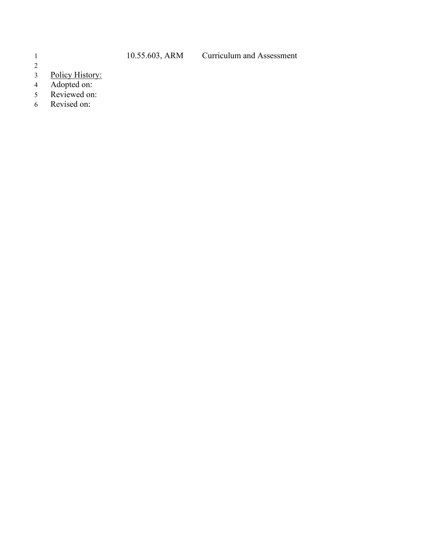- $\begin{array}{c} 2 \\ 3 \end{array}$ 3 Policy History:
- 4 Adopted on:
- 5 Reviewed on:
- 6 Revised on:
-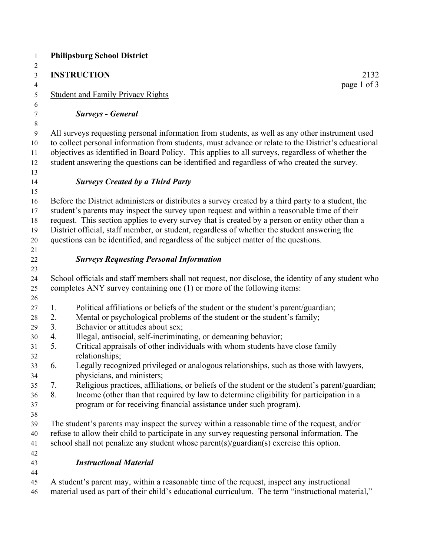|                | <b>INSTRUCTION</b><br>2132                                                                                                                                                                                                                                                                                                                                                                                                                                                                   |
|----------------|----------------------------------------------------------------------------------------------------------------------------------------------------------------------------------------------------------------------------------------------------------------------------------------------------------------------------------------------------------------------------------------------------------------------------------------------------------------------------------------------|
|                | page 1 of 3<br><b>Student and Family Privacy Rights</b>                                                                                                                                                                                                                                                                                                                                                                                                                                      |
|                | <b>Surveys - General</b>                                                                                                                                                                                                                                                                                                                                                                                                                                                                     |
|                | All surveys requesting personal information from students, as well as any other instrument used<br>to collect personal information from students, must advance or relate to the District's educational<br>objectives as identified in Board Policy. This applies to all surveys, regardless of whether the<br>student answering the questions can be identified and regardless of who created the survey.                                                                                    |
|                | <b>Surveys Created by a Third Party</b>                                                                                                                                                                                                                                                                                                                                                                                                                                                      |
|                | Before the District administers or distributes a survey created by a third party to a student, the<br>student's parents may inspect the survey upon request and within a reasonable time of their<br>request. This section applies to every survey that is created by a person or entity other than a<br>District official, staff member, or student, regardless of whether the student answering the<br>questions can be identified, and regardless of the subject matter of the questions. |
|                | <b>Surveys Requesting Personal Information</b>                                                                                                                                                                                                                                                                                                                                                                                                                                               |
|                | School officials and staff members shall not request, nor disclose, the identity of any student who<br>completes ANY survey containing one (1) or more of the following items:                                                                                                                                                                                                                                                                                                               |
| 1.<br>2.<br>3. | Political affiliations or beliefs of the student or the student's parent/guardian;<br>Mental or psychological problems of the student or the student's family;<br>Behavior or attitudes about sex;                                                                                                                                                                                                                                                                                           |
| 4.<br>5.       | Illegal, antisocial, self-incriminating, or demeaning behavior;<br>Critical appraisals of other individuals with whom students have close family<br>relationships;                                                                                                                                                                                                                                                                                                                           |
| 6.             | Legally recognized privileged or analogous relationships, such as those with lawyers,<br>physicians, and ministers;                                                                                                                                                                                                                                                                                                                                                                          |
| 7.<br>8.       | Religious practices, affiliations, or beliefs of the student or the student's parent/guardian;<br>Income (other than that required by law to determine eligibility for participation in a<br>program or for receiving financial assistance under such program).                                                                                                                                                                                                                              |
|                | The student's parents may inspect the survey within a reasonable time of the request, and/or<br>refuse to allow their child to participate in any survey requesting personal information. The<br>school shall not penalize any student whose parent(s)/guardian(s) exercise this option.                                                                                                                                                                                                     |
|                | <b>Instructional Material</b>                                                                                                                                                                                                                                                                                                                                                                                                                                                                |
|                | A student's parent may, within a reasonable time of the request, inspect any instructional                                                                                                                                                                                                                                                                                                                                                                                                   |

material used as part of their child's educational curriculum. The term "instructional material,"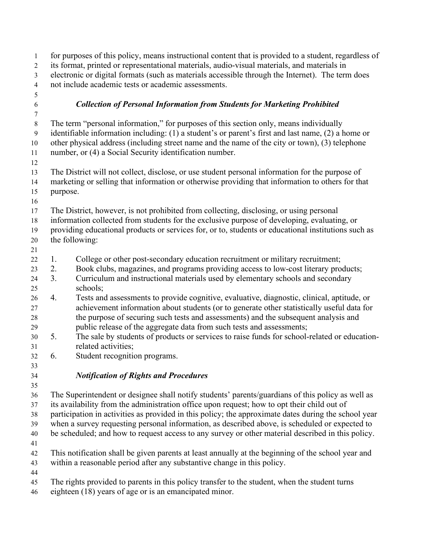| 1                    |                                                                                                  | for purposes of this policy, means instructional content that is provided to a student, regardless of                                                                                                |  |
|----------------------|--------------------------------------------------------------------------------------------------|------------------------------------------------------------------------------------------------------------------------------------------------------------------------------------------------------|--|
| $\overline{c}$       |                                                                                                  | its format, printed or representational materials, audio-visual materials, and materials in                                                                                                          |  |
| $\mathfrak{Z}$       | electronic or digital formats (such as materials accessible through the Internet). The term does |                                                                                                                                                                                                      |  |
| $\overline{4}$       |                                                                                                  | not include academic tests or academic assessments.                                                                                                                                                  |  |
| 5                    |                                                                                                  |                                                                                                                                                                                                      |  |
| $\sqrt{6}$           |                                                                                                  | <b>Collection of Personal Information from Students for Marketing Prohibited</b>                                                                                                                     |  |
| 7                    |                                                                                                  |                                                                                                                                                                                                      |  |
| 8                    |                                                                                                  | The term "personal information," for purposes of this section only, means individually                                                                                                               |  |
| $\overline{9}$<br>10 |                                                                                                  | identifiable information including: (1) a student's or parent's first and last name, (2) a home or<br>other physical address (including street name and the name of the city or town), (3) telephone |  |
| 11                   |                                                                                                  | number, or (4) a Social Security identification number.                                                                                                                                              |  |
| 12                   |                                                                                                  |                                                                                                                                                                                                      |  |
| 13<br>14             |                                                                                                  | The District will not collect, disclose, or use student personal information for the purpose of<br>marketing or selling that information or otherwise providing that information to others for that  |  |
| 15                   | purpose.                                                                                         |                                                                                                                                                                                                      |  |
| 16                   |                                                                                                  |                                                                                                                                                                                                      |  |
| 17                   |                                                                                                  | The District, however, is not prohibited from collecting, disclosing, or using personal                                                                                                              |  |
| 18                   |                                                                                                  | information collected from students for the exclusive purpose of developing, evaluating, or                                                                                                          |  |
| 19                   |                                                                                                  | providing educational products or services for, or to, students or educational institutions such as                                                                                                  |  |
| 20                   |                                                                                                  | the following:                                                                                                                                                                                       |  |
| 21                   |                                                                                                  |                                                                                                                                                                                                      |  |
| 22                   | 1.                                                                                               | College or other post-secondary education recruitment or military recruitment;                                                                                                                       |  |
| 23                   | 2.                                                                                               | Book clubs, magazines, and programs providing access to low-cost literary products;                                                                                                                  |  |
| 24                   | 3.                                                                                               | Curriculum and instructional materials used by elementary schools and secondary                                                                                                                      |  |
| 25                   |                                                                                                  | schools;                                                                                                                                                                                             |  |
| 26                   | 4.                                                                                               | Tests and assessments to provide cognitive, evaluative, diagnostic, clinical, aptitude, or                                                                                                           |  |
| 27                   |                                                                                                  | achievement information about students (or to generate other statistically useful data for                                                                                                           |  |
| 28                   |                                                                                                  | the purpose of securing such tests and assessments) and the subsequent analysis and                                                                                                                  |  |
| 29                   |                                                                                                  | public release of the aggregate data from such tests and assessments;                                                                                                                                |  |
| 30                   | 5.                                                                                               | The sale by students of products or services to raise funds for school-related or education-                                                                                                         |  |
| 31                   |                                                                                                  | related activities;                                                                                                                                                                                  |  |
| 32                   | 6.                                                                                               | Student recognition programs.                                                                                                                                                                        |  |
| 33                   |                                                                                                  |                                                                                                                                                                                                      |  |
| 34                   |                                                                                                  | <b>Notification of Rights and Procedures</b>                                                                                                                                                         |  |
| 35                   |                                                                                                  |                                                                                                                                                                                                      |  |
| 36                   |                                                                                                  | The Superintendent or designee shall notify students' parents/guardians of this policy as well as                                                                                                    |  |
| 37                   |                                                                                                  | its availability from the administration office upon request; how to opt their child out of                                                                                                          |  |
| 38                   |                                                                                                  | participation in activities as provided in this policy; the approximate dates during the school year                                                                                                 |  |
| 39                   |                                                                                                  | when a survey requesting personal information, as described above, is scheduled or expected to                                                                                                       |  |
| 40                   |                                                                                                  | be scheduled; and how to request access to any survey or other material described in this policy.                                                                                                    |  |
| 41                   |                                                                                                  |                                                                                                                                                                                                      |  |
| 42                   |                                                                                                  | This notification shall be given parents at least annually at the beginning of the school year and                                                                                                   |  |
| 43                   |                                                                                                  | within a reasonable period after any substantive change in this policy.                                                                                                                              |  |
| 44                   |                                                                                                  |                                                                                                                                                                                                      |  |
| 45                   |                                                                                                  | The rights provided to parents in this policy transfer to the student, when the student turns                                                                                                        |  |
| 46                   |                                                                                                  | eighteen (18) years of age or is an emancipated minor.                                                                                                                                               |  |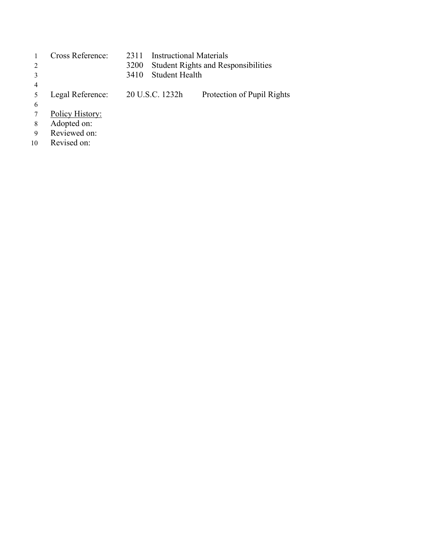|    | Cross Reference: | 2311                   | Instructional Materials                    |
|----|------------------|------------------------|--------------------------------------------|
| 2  |                  | 3200                   | <b>Student Rights and Responsibilities</b> |
|    |                  | Student Health<br>3410 |                                            |
| 4  |                  |                        |                                            |
|    | Legal Reference: | 20 U.S.C. 1232h        | Protection of Pupil Rights                 |
| 6  |                  |                        |                                            |
|    | Policy History:  |                        |                                            |
| 8  | Adopted on:      |                        |                                            |
| 9  | Reviewed on:     |                        |                                            |
| 10 | Revised on:      |                        |                                            |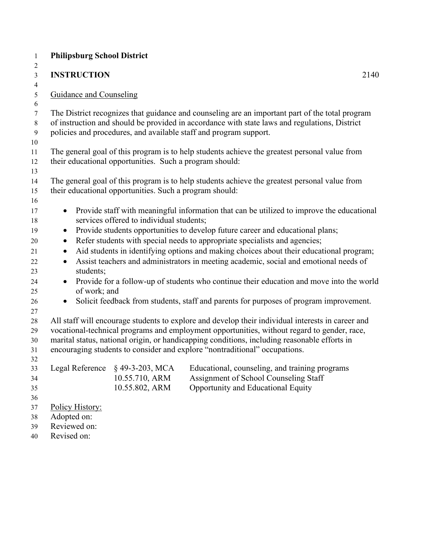| $\mathbf{1}$                     | <b>Philipsburg School District</b>                                                                                                                       |      |
|----------------------------------|----------------------------------------------------------------------------------------------------------------------------------------------------------|------|
| $\overline{c}$                   |                                                                                                                                                          |      |
| $\mathfrak{Z}$<br>$\overline{4}$ | <b>INSTRUCTION</b>                                                                                                                                       | 2140 |
| $\mathfrak{S}$                   | <b>Guidance and Counseling</b>                                                                                                                           |      |
| $\sqrt{6}$                       |                                                                                                                                                          |      |
| $\tau$                           | The District recognizes that guidance and counseling are an important part of the total program                                                          |      |
| $\,8\,$                          | of instruction and should be provided in accordance with state laws and regulations, District                                                            |      |
| 9                                | policies and procedures, and available staff and program support.                                                                                        |      |
| 10                               |                                                                                                                                                          |      |
| 11<br>12                         | The general goal of this program is to help students achieve the greatest personal value from<br>their educational opportunities. Such a program should: |      |
| 13                               |                                                                                                                                                          |      |
| 14                               | The general goal of this program is to help students achieve the greatest personal value from                                                            |      |
| 15                               | their educational opportunities. Such a program should:                                                                                                  |      |
| 16                               |                                                                                                                                                          |      |
| 17                               | Provide staff with meaningful information that can be utilized to improve the educational<br>$\bullet$                                                   |      |
| 18                               | services offered to individual students;                                                                                                                 |      |
| 19                               | Provide students opportunities to develop future career and educational plans;<br>$\bullet$                                                              |      |
| 20                               | Refer students with special needs to appropriate specialists and agencies;                                                                               |      |
| 21                               | Aid students in identifying options and making choices about their educational program;                                                                  |      |
| 22                               | Assist teachers and administrators in meeting academic, social and emotional needs of<br>$\bullet$                                                       |      |
| 23<br>24                         | students;<br>Provide for a follow-up of students who continue their education and move into the world<br>$\bullet$                                       |      |
| 25                               | of work; and                                                                                                                                             |      |
| 26                               | Solicit feedback from students, staff and parents for purposes of program improvement.<br>$\bullet$                                                      |      |
| 27                               |                                                                                                                                                          |      |
| 28                               | All staff will encourage students to explore and develop their individual interests in career and                                                        |      |
| 29                               | vocational-technical programs and employment opportunities, without regard to gender, race,                                                              |      |
| 30                               | marital status, national origin, or handicapping conditions, including reasonable efforts in                                                             |      |
| 31                               | encouraging students to consider and explore "nontraditional" occupations.                                                                               |      |
| 32<br>33                         | Legal Reference § 49-3-203, MCA Educational, counseling, and training programs                                                                           |      |
| 34                               | 10.55.710, ARM<br>Assignment of School Counseling Staff                                                                                                  |      |
| 35                               | 10.55.802, ARM<br>Opportunity and Educational Equity                                                                                                     |      |
| 36                               |                                                                                                                                                          |      |
| 37                               | Policy History:                                                                                                                                          |      |
| 38                               | Adopted on:                                                                                                                                              |      |
| 39                               | Reviewed on:                                                                                                                                             |      |
| 40                               | Revised on:                                                                                                                                              |      |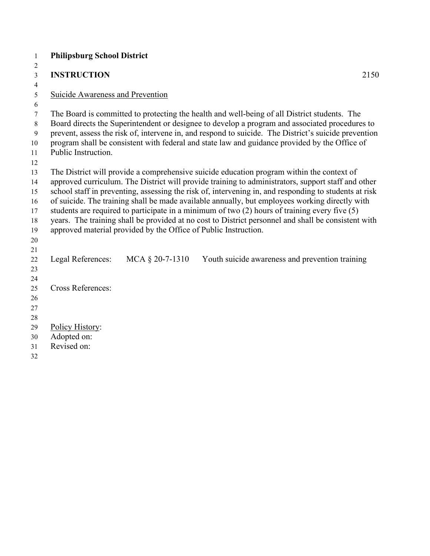| $\mathbf{1}$   | <b>Philipsburg School District</b>      |                                                                 |                                                                                                       |
|----------------|-----------------------------------------|-----------------------------------------------------------------|-------------------------------------------------------------------------------------------------------|
| 2              |                                         |                                                                 |                                                                                                       |
| $\mathfrak{Z}$ | <b>INSTRUCTION</b>                      |                                                                 | 2150                                                                                                  |
| $\overline{4}$ |                                         |                                                                 |                                                                                                       |
| 5              | <b>Suicide Awareness and Prevention</b> |                                                                 |                                                                                                       |
| 6              |                                         |                                                                 |                                                                                                       |
| $\tau$         |                                         |                                                                 | The Board is committed to protecting the health and well-being of all District students. The          |
| 8              |                                         |                                                                 | Board directs the Superintendent or designee to develop a program and associated procedures to        |
| $\overline{9}$ |                                         |                                                                 | prevent, assess the risk of, intervene in, and respond to suicide. The District's suicide prevention  |
| 10             |                                         |                                                                 | program shall be consistent with federal and state law and guidance provided by the Office of         |
| 11             | Public Instruction.                     |                                                                 |                                                                                                       |
| 12             |                                         |                                                                 |                                                                                                       |
| 13             |                                         |                                                                 | The District will provide a comprehensive suicide education program within the context of             |
| 14             |                                         |                                                                 | approved curriculum. The District will provide training to administrators, support staff and other    |
| 15             |                                         |                                                                 | school staff in preventing, assessing the risk of, intervening in, and responding to students at risk |
| 16             |                                         |                                                                 | of suicide. The training shall be made available annually, but employees working directly with        |
| 17             |                                         |                                                                 | students are required to participate in a minimum of two (2) hours of training every five (5)         |
| 18             |                                         |                                                                 | years. The training shall be provided at no cost to District personnel and shall be consistent with   |
| 19             |                                         | approved material provided by the Office of Public Instruction. |                                                                                                       |
| 20             |                                         |                                                                 |                                                                                                       |
| 21             |                                         |                                                                 |                                                                                                       |
| 22             | Legal References:                       | MCA $\S$ 20-7-1310                                              | Youth suicide awareness and prevention training                                                       |
| 23             |                                         |                                                                 |                                                                                                       |
| 24             | <b>Cross References:</b>                |                                                                 |                                                                                                       |
| 25             |                                         |                                                                 |                                                                                                       |
| 26             |                                         |                                                                 |                                                                                                       |
| 27<br>28       |                                         |                                                                 |                                                                                                       |
| 29             | Policy History:                         |                                                                 |                                                                                                       |
| 30             | Adopted on:                             |                                                                 |                                                                                                       |
| 31             | Revised on:                             |                                                                 |                                                                                                       |
| 32             |                                         |                                                                 |                                                                                                       |
|                |                                         |                                                                 |                                                                                                       |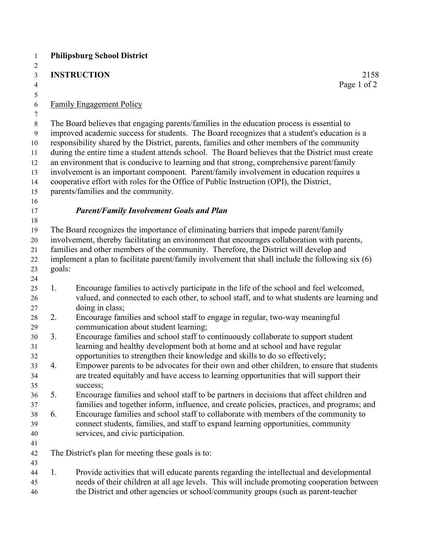| $\mathbf{1}$            |        | <b>Philipsburg School District</b>                                                                                                                                 |
|-------------------------|--------|--------------------------------------------------------------------------------------------------------------------------------------------------------------------|
| 2                       |        |                                                                                                                                                                    |
| $\overline{3}$          |        | <b>INSTRUCTION</b><br>2158                                                                                                                                         |
| $\overline{4}$          |        | Page 1 of 2                                                                                                                                                        |
| 5                       |        |                                                                                                                                                                    |
| 6                       |        | <b>Family Engagement Policy</b>                                                                                                                                    |
| 7                       |        | The Board believes that engaging parents/families in the education process is essential to                                                                         |
| $8\,$<br>$\overline{9}$ |        | improved academic success for students. The Board recognizes that a student's education is a                                                                       |
| 10                      |        | responsibility shared by the District, parents, families and other members of the community                                                                        |
| 11                      |        | during the entire time a student attends school. The Board believes that the District must create                                                                  |
| 12                      |        | an environment that is conducive to learning and that strong, comprehensive parent/family                                                                          |
| 13                      |        | involvement is an important component. Parent/family involvement in education requires a                                                                           |
| 14                      |        | cooperative effort with roles for the Office of Public Instruction (OPI), the District,                                                                            |
| 15                      |        | parents/families and the community.                                                                                                                                |
| 16                      |        |                                                                                                                                                                    |
| 17                      |        | <b>Parent/Family Involvement Goals and Plan</b>                                                                                                                    |
| 18                      |        |                                                                                                                                                                    |
| 19                      |        | The Board recognizes the importance of eliminating barriers that impede parent/family                                                                              |
| 20                      |        | involvement, thereby facilitating an environment that encourages collaboration with parents,                                                                       |
| 21                      |        | families and other members of the community. Therefore, the District will develop and                                                                              |
| 22                      |        | implement a plan to facilitate parent/family involvement that shall include the following six (6)                                                                  |
| 23                      | goals: |                                                                                                                                                                    |
| 24                      |        |                                                                                                                                                                    |
| 25                      | 1.     | Encourage families to actively participate in the life of the school and feel welcomed,                                                                            |
| 26                      |        | valued, and connected to each other, to school staff, and to what students are learning and                                                                        |
| 27                      |        | doing in class;                                                                                                                                                    |
| 28                      | 2.     | Encourage families and school staff to engage in regular, two-way meaningful                                                                                       |
| 29                      |        | communication about student learning;                                                                                                                              |
| 30                      | 3.     | Encourage families and school staff to continuously collaborate to support student<br>learning and healthy development both at home and at school and have regular |
| 31                      |        | opportunities to strengthen their knowledge and skills to do so effectively;                                                                                       |
| 32<br>33                | 4.     | Empower parents to be advocates for their own and other children, to ensure that students                                                                          |
| 34                      |        | are treated equitably and have access to learning opportunities that will support their                                                                            |
| 35                      |        | success;                                                                                                                                                           |
| 36                      | 5.     | Encourage families and school staff to be partners in decisions that affect children and                                                                           |
| 37                      |        | families and together inform, influence, and create policies, practices, and programs; and                                                                         |
| 38                      | 6.     | Encourage families and school staff to collaborate with members of the community to                                                                                |
| 39                      |        | connect students, families, and staff to expand learning opportunities, community                                                                                  |
| 40                      |        | services, and civic participation.                                                                                                                                 |
| 41                      |        |                                                                                                                                                                    |
| 42                      |        | The District's plan for meeting these goals is to:                                                                                                                 |
| 43                      |        |                                                                                                                                                                    |
| 44                      | 1.     | Provide activities that will educate parents regarding the intellectual and developmental                                                                          |
| 45                      |        | needs of their children at all age levels. This will include promoting cooperation between                                                                         |
| 46                      |        | the District and other agencies or school/community groups (such as parent-teacher                                                                                 |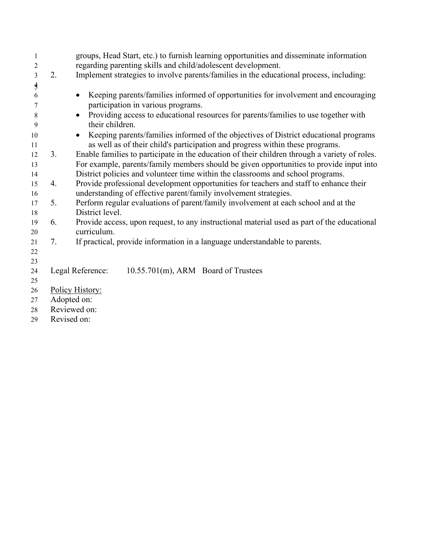| 1             |              | groups, Head Start, etc.) to furnish learning opportunities and disseminate information           |
|---------------|--------------|---------------------------------------------------------------------------------------------------|
| 2             |              | regarding parenting skills and child/adolescent development.                                      |
| 3             | 2.           | Implement strategies to involve parents/families in the educational process, including:           |
| $\frac{4}{5}$ |              |                                                                                                   |
| 6             |              | Keeping parents/families informed of opportunities for involvement and encouraging                |
| 7             |              | participation in various programs.                                                                |
| 8             |              | Providing access to educational resources for parents/families to use together with               |
| 9             |              | their children.                                                                                   |
| 10            |              | Keeping parents/families informed of the objectives of District educational programs<br>$\bullet$ |
| 11            |              | as well as of their child's participation and progress within these programs.                     |
| 12            | 3.           | Enable families to participate in the education of their children through a variety of roles.     |
| 13            |              | For example, parents/family members should be given opportunities to provide input into           |
| 14            |              | District policies and volunteer time within the classrooms and school programs.                   |
| 15            | 4.           | Provide professional development opportunities for teachers and staff to enhance their            |
| 16            |              | understanding of effective parent/family involvement strategies.                                  |
| 17            | 5.           | Perform regular evaluations of parent/family involvement at each school and at the                |
| 18            |              | District level.                                                                                   |
| 19            | 6.           | Provide access, upon request, to any instructional material used as part of the educational       |
| 20            |              | curriculum.                                                                                       |
| 21            | 7.           | If practical, provide information in a language understandable to parents.                        |
| 22            |              |                                                                                                   |
| 23            |              |                                                                                                   |
| 24            |              | Legal Reference:<br>10.55.701(m), ARM Board of Trustees                                           |
| 25            |              |                                                                                                   |
| 26            |              | Policy History:                                                                                   |
| 27            | Adopted on:  |                                                                                                   |
| 28            | Reviewed on: |                                                                                                   |
| 29            | Revised on:  |                                                                                                   |
|               |              |                                                                                                   |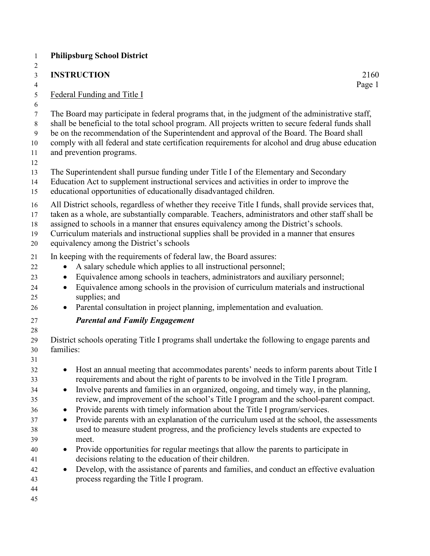|                                                               | <b>Philipsburg School District</b>                                                                                                                                                                                                                                                                                                                                                                                                                                                                                                                                                                                                                                                                                                                                                                                                                                                                                                       |
|---------------------------------------------------------------|------------------------------------------------------------------------------------------------------------------------------------------------------------------------------------------------------------------------------------------------------------------------------------------------------------------------------------------------------------------------------------------------------------------------------------------------------------------------------------------------------------------------------------------------------------------------------------------------------------------------------------------------------------------------------------------------------------------------------------------------------------------------------------------------------------------------------------------------------------------------------------------------------------------------------------------|
|                                                               | 2160<br><b>INSTRUCTION</b><br>Page 1                                                                                                                                                                                                                                                                                                                                                                                                                                                                                                                                                                                                                                                                                                                                                                                                                                                                                                     |
|                                                               | Federal Funding and Title I                                                                                                                                                                                                                                                                                                                                                                                                                                                                                                                                                                                                                                                                                                                                                                                                                                                                                                              |
|                                                               | The Board may participate in federal programs that, in the judgment of the administrative staff,<br>shall be beneficial to the total school program. All projects written to secure federal funds shall<br>be on the recommendation of the Superintendent and approval of the Board. The Board shall<br>comply with all federal and state certification requirements for alcohol and drug abuse education<br>and prevention programs.                                                                                                                                                                                                                                                                                                                                                                                                                                                                                                    |
|                                                               | The Superintendent shall pursue funding under Title I of the Elementary and Secondary<br>Education Act to supplement instructional services and activities in order to improve the<br>educational opportunities of educationally disadvantaged children.                                                                                                                                                                                                                                                                                                                                                                                                                                                                                                                                                                                                                                                                                 |
|                                                               | All District schools, regardless of whether they receive Title I funds, shall provide services that,<br>taken as a whole, are substantially comparable. Teachers, administrators and other staff shall be<br>assigned to schools in a manner that ensures equivalency among the District's schools.<br>Curriculum materials and instructional supplies shall be provided in a manner that ensures<br>equivalency among the District's schools                                                                                                                                                                                                                                                                                                                                                                                                                                                                                            |
| $\bullet$<br>$\bullet$<br>$\bullet$                           | In keeping with the requirements of federal law, the Board assures:<br>A salary schedule which applies to all instructional personnel;<br>Equivalence among schools in teachers, administrators and auxiliary personnel;<br>Equivalence among schools in the provision of curriculum materials and instructional<br>supplies; and<br>Parental consultation in project planning, implementation and evaluation.                                                                                                                                                                                                                                                                                                                                                                                                                                                                                                                           |
|                                                               | <b>Parental and Family Engagement</b>                                                                                                                                                                                                                                                                                                                                                                                                                                                                                                                                                                                                                                                                                                                                                                                                                                                                                                    |
| families:                                                     | District schools operating Title I programs shall undertake the following to engage parents and                                                                                                                                                                                                                                                                                                                                                                                                                                                                                                                                                                                                                                                                                                                                                                                                                                          |
| $\bullet$<br>$\bullet$<br>$\bullet$<br>$\bullet$<br>$\bullet$ | Host an annual meeting that accommodates parents' needs to inform parents about Title I<br>requirements and about the right of parents to be involved in the Title I program.<br>Involve parents and families in an organized, ongoing, and timely way, in the planning,<br>review, and improvement of the school's Title I program and the school-parent compact.<br>Provide parents with timely information about the Title I program/services.<br>Provide parents with an explanation of the curriculum used at the school, the assessments<br>used to measure student progress, and the proficiency levels students are expected to<br>meet.<br>Provide opportunities for regular meetings that allow the parents to participate in<br>decisions relating to the education of their children.<br>Develop, with the assistance of parents and families, and conduct an effective evaluation<br>process regarding the Title I program. |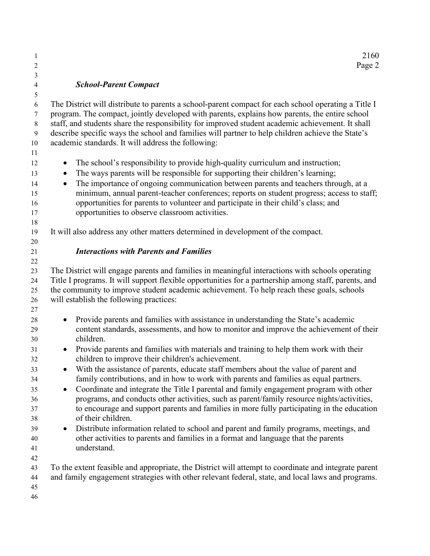#### *School-Parent Compact*

 The District will distribute to parents a school-parent compact for each school operating a Title I program. The compact, jointly developed with parents, explains how parents, the entire school staff, and students share the responsibility for improved student academic achievement. It shall describe specific ways the school and families will partner to help children achieve the State's academic standards. It will address the following:

- The school's responsibility to provide high-quality curriculum and instruction;
- The ways parents will be responsible for supporting their children's learning;
- The importance of ongoing communication between parents and teachers through, at a minimum, annual parent-teacher conferences; reports on student progress; access to staff; opportunities for parents to volunteer and participate in their child's class; and
- opportunities to observe classroom activities.
- It will also address any other matters determined in development of the compact.
- 

#### *Interactions with Parents and Families*

 The District will engage parents and families in meaningful interactions with schools operating Title I programs. It will support flexible opportunities for a partnership among staff, parents, and the community to improve student academic achievement. To help reach these goals, schools will establish the following practices:

- • Provide parents and families with assistance in understanding the State's academic content standards, assessments, and how to monitor and improve the achievement of their children.
- Provide parents and families with materials and training to help them work with their children to improve their children's achievement.
- <sup>33</sup> With the assistance of parents, educate staff members about the value of parent and family contributions, and in how to work with parents and families as equal partners.
- Coordinate and integrate the Title I parental and family engagement program with other programs, and conducts other activities, such as parent/family resource nights/activities, to encourage and support parents and families in more fully participating in the education of their children.
- Distribute information related to school and parent and family programs, meetings, and other activities to parents and families in a format and language that the parents understand.
- 

 To the extent feasible and appropriate, the District will attempt to coordinate and integrate parent and family engagement strategies with other relevant federal, state, and local laws and programs.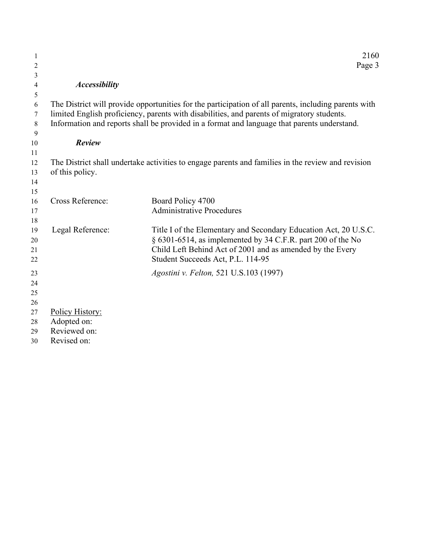| 1              |                         | 2160                                                                                                 |
|----------------|-------------------------|------------------------------------------------------------------------------------------------------|
| $\overline{c}$ |                         | Page 3                                                                                               |
| 3              |                         |                                                                                                      |
| 4              | <b>Accessibility</b>    |                                                                                                      |
| 5              |                         |                                                                                                      |
| 6              |                         | The District will provide opportunities for the participation of all parents, including parents with |
| 7              |                         | limited English proficiency, parents with disabilities, and parents of migratory students.           |
| $\,8\,$<br>9   |                         | Information and reports shall be provided in a format and language that parents understand.          |
| 10             | Review                  |                                                                                                      |
| 11             |                         |                                                                                                      |
| 12             |                         | The District shall undertake activities to engage parents and families in the review and revision    |
| 13             | of this policy.         |                                                                                                      |
| 14             |                         |                                                                                                      |
| 15             |                         |                                                                                                      |
| 16             | <b>Cross Reference:</b> | Board Policy 4700                                                                                    |
| 17             |                         | <b>Administrative Procedures</b>                                                                     |
| 18             |                         |                                                                                                      |
| 19             | Legal Reference:        | Title I of the Elementary and Secondary Education Act, 20 U.S.C.                                     |
| 20             |                         | § 6301-6514, as implemented by 34 C.F.R. part 200 of the No                                          |
| 21             |                         | Child Left Behind Act of 2001 and as amended by the Every                                            |
| 22             |                         | Student Succeeds Act, P.L. 114-95                                                                    |
| 23             |                         | Agostini v. Felton, 521 U.S.103 (1997)                                                               |
| 24             |                         |                                                                                                      |
| 25             |                         |                                                                                                      |
| 26             |                         |                                                                                                      |
| 27             | Policy History:         |                                                                                                      |
| 28             | Adopted on:             |                                                                                                      |
| 29             | Reviewed on:            |                                                                                                      |
| 30             | Revised on:             |                                                                                                      |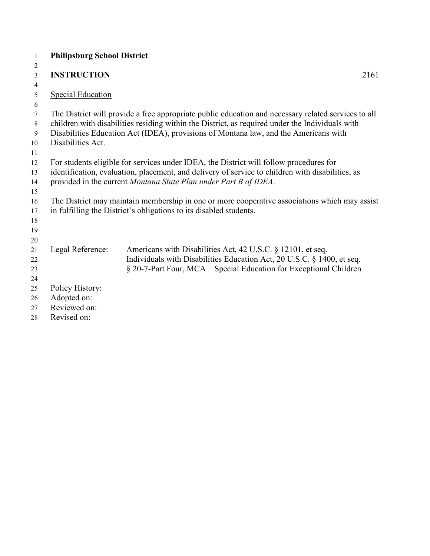| 1              | <b>Philipsburg School District</b> |                                                                                                     |  |
|----------------|------------------------------------|-----------------------------------------------------------------------------------------------------|--|
| $\overline{2}$ |                                    |                                                                                                     |  |
| $\mathfrak{Z}$ | <b>INSTRUCTION</b>                 | 2161                                                                                                |  |
| $\overline{4}$ |                                    |                                                                                                     |  |
| 5              | <b>Special Education</b>           |                                                                                                     |  |
| 6              |                                    |                                                                                                     |  |
| 7              |                                    | The District will provide a free appropriate public education and necessary related services to all |  |
| 8              |                                    | children with disabilities residing within the District, as required under the Individuals with     |  |
| 9              |                                    | Disabilities Education Act (IDEA), provisions of Montana law, and the Americans with                |  |
| 10             | Disabilities Act.                  |                                                                                                     |  |
| 11             |                                    |                                                                                                     |  |
| 12             |                                    | For students eligible for services under IDEA, the District will follow procedures for              |  |
| 13             |                                    | identification, evaluation, placement, and delivery of service to children with disabilities, as    |  |
| 14             |                                    | provided in the current Montana State Plan under Part B of IDEA.                                    |  |
| 15             |                                    |                                                                                                     |  |
| 16             |                                    | The District may maintain membership in one or more cooperative associations which may assist       |  |
| 17             |                                    | in fulfilling the District's obligations to its disabled students.                                  |  |
| 18             |                                    |                                                                                                     |  |
| 19             |                                    |                                                                                                     |  |
| 20             |                                    |                                                                                                     |  |
| 21             | Legal Reference:                   | Americans with Disabilities Act, 42 U.S.C. § 12101, et seq.                                         |  |
| 22             |                                    | Individuals with Disabilities Education Act, 20 U.S.C. § 1400, et seq.                              |  |
| 23             |                                    | § 20-7-Part Four, MCA Special Education for Exceptional Children                                    |  |
| 24             |                                    |                                                                                                     |  |
| 25             | Policy History:                    |                                                                                                     |  |
| 26             | Adopted on:                        |                                                                                                     |  |
| 27             | Reviewed on:                       |                                                                                                     |  |
| 28             | Revised on:                        |                                                                                                     |  |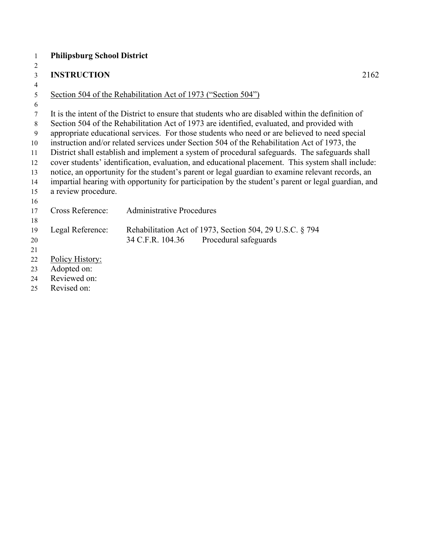| 1                | <b>Philipsburg School District</b> |                                                                                                     |      |
|------------------|------------------------------------|-----------------------------------------------------------------------------------------------------|------|
| 2                |                                    |                                                                                                     |      |
| 3                | <b>INSTRUCTION</b>                 |                                                                                                     | 2162 |
| 4                |                                    |                                                                                                     |      |
| 5                |                                    | Section 504 of the Rehabilitation Act of 1973 ("Section 504")                                       |      |
| 6                |                                    |                                                                                                     |      |
| $\tau$           |                                    | It is the intent of the District to ensure that students who are disabled within the definition of  |      |
| 8                |                                    | Section 504 of the Rehabilitation Act of 1973 are identified, evaluated, and provided with          |      |
| $\boldsymbol{9}$ |                                    | appropriate educational services. For those students who need or are believed to need special       |      |
| 10               |                                    | instruction and/or related services under Section 504 of the Rehabilitation Act of 1973, the        |      |
| 11               |                                    | District shall establish and implement a system of procedural safeguards. The safeguards shall      |      |
| 12               |                                    | cover students' identification, evaluation, and educational placement. This system shall include:   |      |
| 13               |                                    | notice, an opportunity for the student's parent or legal guardian to examine relevant records, an   |      |
| 14               |                                    | impartial hearing with opportunity for participation by the student's parent or legal guardian, and |      |
| 15               | a review procedure.                |                                                                                                     |      |
| 16               |                                    |                                                                                                     |      |
| 17               | Cross Reference:                   | <b>Administrative Procedures</b>                                                                    |      |
| 18               |                                    |                                                                                                     |      |
| 19               | Legal Reference:                   | Rehabilitation Act of 1973, Section 504, 29 U.S.C. § 794                                            |      |
| 20               |                                    | 34 C.F.R. 104.36<br>Procedural safeguards                                                           |      |
| 21               |                                    |                                                                                                     |      |
| 22               | Policy History:                    |                                                                                                     |      |
| 23               | Adopted on:                        |                                                                                                     |      |
| 24               | Reviewed on:                       |                                                                                                     |      |
| 25               | Revised on:                        |                                                                                                     |      |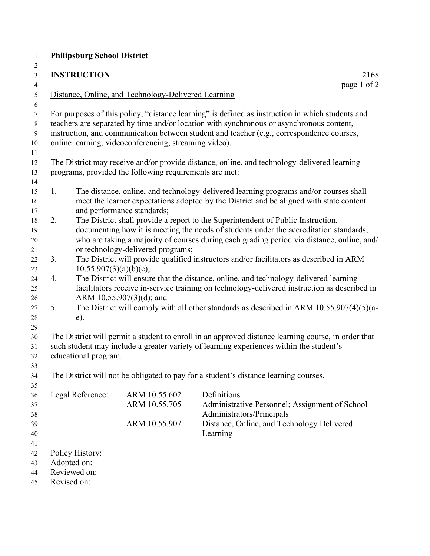|                            | <b>Philipsburg School District</b>                                                |                                                                                             |                                                                                                                                                                                                                                                                                                                                                                                                                                                                                                                                                                                                                                                                                                                                                                                                                                                                                                                                                                                                                                                |
|----------------------------|-----------------------------------------------------------------------------------|---------------------------------------------------------------------------------------------|------------------------------------------------------------------------------------------------------------------------------------------------------------------------------------------------------------------------------------------------------------------------------------------------------------------------------------------------------------------------------------------------------------------------------------------------------------------------------------------------------------------------------------------------------------------------------------------------------------------------------------------------------------------------------------------------------------------------------------------------------------------------------------------------------------------------------------------------------------------------------------------------------------------------------------------------------------------------------------------------------------------------------------------------|
|                            | <b>INSTRUCTION</b>                                                                |                                                                                             | 2168<br>page 1 of 2                                                                                                                                                                                                                                                                                                                                                                                                                                                                                                                                                                                                                                                                                                                                                                                                                                                                                                                                                                                                                            |
|                            |                                                                                   | Distance, Online, and Technology-Delivered Learning                                         |                                                                                                                                                                                                                                                                                                                                                                                                                                                                                                                                                                                                                                                                                                                                                                                                                                                                                                                                                                                                                                                |
|                            |                                                                                   | online learning, videoconferencing, streaming video).                                       | For purposes of this policy, "distance learning" is defined as instruction in which students and<br>teachers are separated by time and/or location with synchronous or asynchronous content,<br>instruction, and communication between student and teacher (e.g., correspondence courses,                                                                                                                                                                                                                                                                                                                                                                                                                                                                                                                                                                                                                                                                                                                                                      |
|                            |                                                                                   | programs, provided the following requirements are met:                                      | The District may receive and/or provide distance, online, and technology-delivered learning                                                                                                                                                                                                                                                                                                                                                                                                                                                                                                                                                                                                                                                                                                                                                                                                                                                                                                                                                    |
| 1.<br>2.<br>3.<br>4.<br>5. | 10.55.907(3)(a)(b)(c);<br>e).<br>educational program.                             | and performance standards;<br>or technology-delivered programs;<br>ARM 10.55.907(3)(d); and | The distance, online, and technology-delivered learning programs and/or courses shall<br>meet the learner expectations adopted by the District and be aligned with state content<br>The District shall provide a report to the Superintendent of Public Instruction,<br>documenting how it is meeting the needs of students under the accreditation standards,<br>who are taking a majority of courses during each grading period via distance, online, and/<br>The District will provide qualified instructors and/or facilitators as described in ARM<br>The District will ensure that the distance, online, and technology-delivered learning<br>facilitators receive in-service training on technology-delivered instruction as described in<br>The District will comply with all other standards as described in ARM 10.55.907(4)(5)(a-<br>The District will permit a student to enroll in an approved distance learning course, in order that<br>such student may include a greater variety of learning experiences within the student's |
|                            |                                                                                   |                                                                                             | The District will not be obligated to pay for a student's distance learning courses.                                                                                                                                                                                                                                                                                                                                                                                                                                                                                                                                                                                                                                                                                                                                                                                                                                                                                                                                                           |
|                            | Legal Reference:<br>Policy History:<br>Adopted on:<br>Reviewed on:<br>Revised on: | ARM 10.55.602<br>ARM 10.55.705<br>ARM 10.55.907                                             | Definitions<br>Administrative Personnel; Assignment of School<br>Administrators/Principals<br>Distance, Online, and Technology Delivered<br>Learning                                                                                                                                                                                                                                                                                                                                                                                                                                                                                                                                                                                                                                                                                                                                                                                                                                                                                           |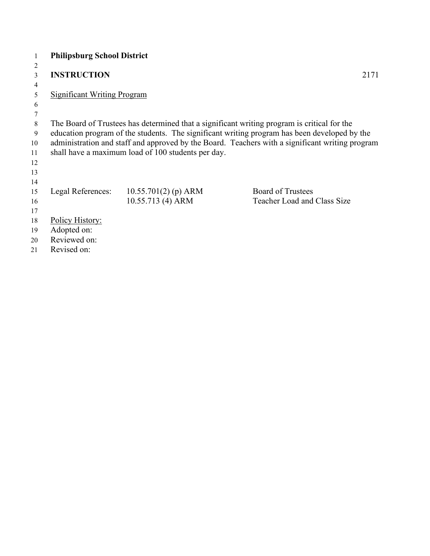| 1              | <b>Philipsburg School District</b> |                                                    |                                                                                                 |
|----------------|------------------------------------|----------------------------------------------------|-------------------------------------------------------------------------------------------------|
| $\overline{2}$ |                                    |                                                    |                                                                                                 |
| 3              | <b>INSTRUCTION</b>                 |                                                    | 2171                                                                                            |
| $\overline{4}$ |                                    |                                                    |                                                                                                 |
| 5              | <b>Significant Writing Program</b> |                                                    |                                                                                                 |
| 6              |                                    |                                                    |                                                                                                 |
| 7              |                                    |                                                    |                                                                                                 |
| 8              |                                    |                                                    | The Board of Trustees has determined that a significant writing program is critical for the     |
| 9              |                                    |                                                    | education program of the students. The significant writing program has been developed by the    |
| 10             |                                    |                                                    | administration and staff and approved by the Board. Teachers with a significant writing program |
| 11             |                                    | shall have a maximum load of 100 students per day. |                                                                                                 |
| 12             |                                    |                                                    |                                                                                                 |
| 13             |                                    |                                                    |                                                                                                 |
| 14             |                                    |                                                    |                                                                                                 |
| 15             | Legal References:                  | $10.55.701(2)$ (p) ARM                             | <b>Board of Trustees</b>                                                                        |
| 16             |                                    | 10.55.713 (4) ARM                                  | Teacher Load and Class Size                                                                     |
| 17             |                                    |                                                    |                                                                                                 |
| 18             | Policy History:                    |                                                    |                                                                                                 |
| 19             | Adopted on:                        |                                                    |                                                                                                 |
| 20             | Reviewed on:                       |                                                    |                                                                                                 |
| 21             | Revised on:                        |                                                    |                                                                                                 |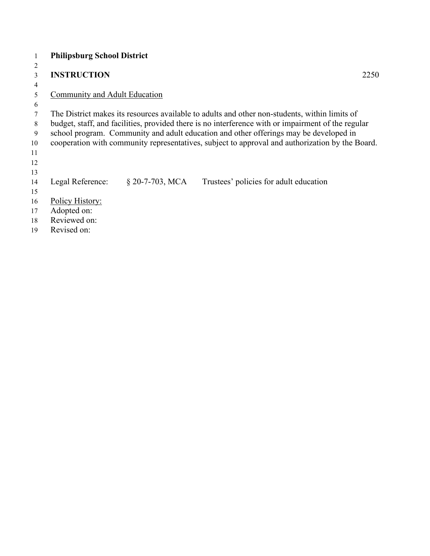| 1  | <b>Philipsburg School District</b> |                  |                                                                                                    |
|----|------------------------------------|------------------|----------------------------------------------------------------------------------------------------|
| 2  |                                    |                  |                                                                                                    |
| 3  | <b>INSTRUCTION</b>                 |                  | 2250                                                                                               |
| 4  |                                    |                  |                                                                                                    |
| 5  | Community and Adult Education      |                  |                                                                                                    |
| 6  |                                    |                  |                                                                                                    |
|    |                                    |                  | The District makes its resources available to adults and other non-students, within limits of      |
| 8  |                                    |                  | budget, staff, and facilities, provided there is no interference with or impairment of the regular |
| 9  |                                    |                  | school program. Community and adult education and other offerings may be developed in              |
| 10 |                                    |                  | cooperation with community representatives, subject to approval and authorization by the Board.    |
| 11 |                                    |                  |                                                                                                    |
| 12 |                                    |                  |                                                                                                    |
| 13 |                                    |                  |                                                                                                    |
| 14 | Legal Reference:                   | $$20-7-703, MCA$ | Trustees' policies for adult education                                                             |
| 15 |                                    |                  |                                                                                                    |
| 16 | Policy History:                    |                  |                                                                                                    |
| 17 | Adopted on:                        |                  |                                                                                                    |
| 18 | Reviewed on:                       |                  |                                                                                                    |
| 19 | Revised on:                        |                  |                                                                                                    |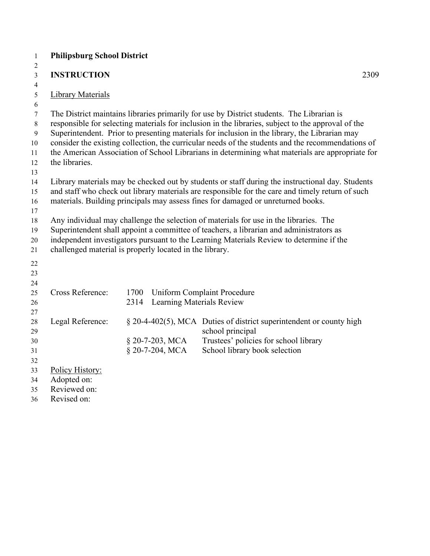| 1        | <b>Philipsburg School District</b>                      |      |                           |                                                                                                    |
|----------|---------------------------------------------------------|------|---------------------------|----------------------------------------------------------------------------------------------------|
| 2        |                                                         |      |                           |                                                                                                    |
| 3        | <b>INSTRUCTION</b>                                      |      |                           | 2309                                                                                               |
| 4        |                                                         |      |                           |                                                                                                    |
| 5        | <b>Library Materials</b>                                |      |                           |                                                                                                    |
| 6<br>7   |                                                         |      |                           | The District maintains libraries primarily for use by District students. The Librarian is          |
| 8        |                                                         |      |                           | responsible for selecting materials for inclusion in the libraries, subject to the approval of the |
| 9        |                                                         |      |                           | Superintendent. Prior to presenting materials for inclusion in the library, the Librarian may      |
| 10       |                                                         |      |                           | consider the existing collection, the curricular needs of the students and the recommendations of  |
| 11       |                                                         |      |                           | the American Association of School Librarians in determining what materials are appropriate for    |
| 12       | the libraries.                                          |      |                           |                                                                                                    |
| 13       |                                                         |      |                           |                                                                                                    |
| 14       |                                                         |      |                           | Library materials may be checked out by students or staff during the instructional day. Students   |
| 15       |                                                         |      |                           | and staff who check out library materials are responsible for the care and timely return of such   |
| 16       |                                                         |      |                           | materials. Building principals may assess fines for damaged or unreturned books.                   |
| 17       |                                                         |      |                           |                                                                                                    |
| 18       |                                                         |      |                           | Any individual may challenge the selection of materials for use in the libraries. The              |
| 19       |                                                         |      |                           | Superintendent shall appoint a committee of teachers, a librarian and administrators as            |
| 20       | challenged material is properly located in the library. |      |                           | independent investigators pursuant to the Learning Materials Review to determine if the            |
| 21       |                                                         |      |                           |                                                                                                    |
| 22       |                                                         |      |                           |                                                                                                    |
| 23       |                                                         |      |                           |                                                                                                    |
| 24       |                                                         |      |                           |                                                                                                    |
| 25       | Cross Reference:                                        | 1700 |                           | <b>Uniform Complaint Procedure</b>                                                                 |
| 26       |                                                         | 2314 | Learning Materials Review |                                                                                                    |
| 27       | Legal Reference:                                        |      |                           | § 20-4-402(5), MCA Duties of district superintendent or county high                                |
| 28<br>29 |                                                         |      |                           | school principal                                                                                   |
| 30       |                                                         |      | $\S$ 20-7-203, MCA        | Trustees' policies for school library                                                              |
| 31       |                                                         |      | § 20-7-204, MCA           | School library book selection                                                                      |
| 32       |                                                         |      |                           |                                                                                                    |
| 33       | Policy History:                                         |      |                           |                                                                                                    |
| 34       | Adopted on:                                             |      |                           |                                                                                                    |
| 35       | Reviewed on:                                            |      |                           |                                                                                                    |
| 36       | Revised on:                                             |      |                           |                                                                                                    |
|          |                                                         |      |                           |                                                                                                    |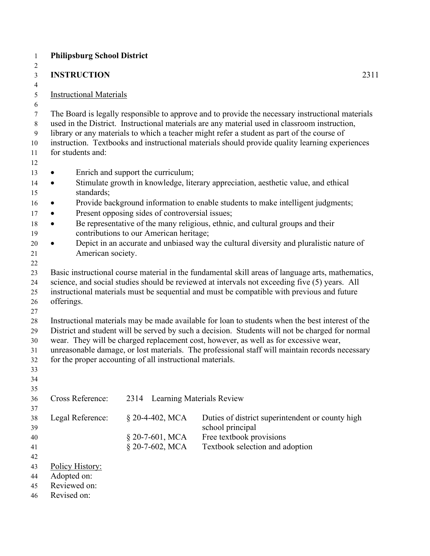|                                      |                                                           | 2311                                                                                                                                                                                                                                                                                                                                                                                              |
|--------------------------------------|-----------------------------------------------------------|---------------------------------------------------------------------------------------------------------------------------------------------------------------------------------------------------------------------------------------------------------------------------------------------------------------------------------------------------------------------------------------------------|
| <b>Instructional Materials</b>       |                                                           |                                                                                                                                                                                                                                                                                                                                                                                                   |
| for students and:                    |                                                           | The Board is legally responsible to approve and to provide the necessary instructional materials<br>used in the District. Instructional materials are any material used in classroom instruction,<br>library or any materials to which a teacher might refer a student as part of the course of<br>instruction. Textbooks and instructional materials should provide quality learning experiences |
| $\bullet$                            | Enrich and support the curriculum;                        |                                                                                                                                                                                                                                                                                                                                                                                                   |
| $\bullet$<br>standards;              |                                                           | Stimulate growth in knowledge, literary appreciation, aesthetic value, and ethical                                                                                                                                                                                                                                                                                                                |
| $\bullet$                            |                                                           | Provide background information to enable students to make intelligent judgments;                                                                                                                                                                                                                                                                                                                  |
| $\bullet$                            | Present opposing sides of controversial issues;           |                                                                                                                                                                                                                                                                                                                                                                                                   |
| $\bullet$                            |                                                           | Be representative of the many religious, ethnic, and cultural groups and their                                                                                                                                                                                                                                                                                                                    |
| $\bullet$                            | contributions to our American heritage;                   | Depict in an accurate and unbiased way the cultural diversity and pluralistic nature of                                                                                                                                                                                                                                                                                                           |
| American society.                    |                                                           |                                                                                                                                                                                                                                                                                                                                                                                                   |
|                                      |                                                           |                                                                                                                                                                                                                                                                                                                                                                                                   |
|                                      |                                                           | Basic instructional course material in the fundamental skill areas of language arts, mathematics,                                                                                                                                                                                                                                                                                                 |
|                                      |                                                           | science, and social studies should be reviewed at intervals not exceeding five (5) years. All<br>instructional materials must be sequential and must be compatible with previous and future                                                                                                                                                                                                       |
| offerings.                           |                                                           |                                                                                                                                                                                                                                                                                                                                                                                                   |
|                                      |                                                           | Instructional materials may be made available for loan to students when the best interest of the<br>District and student will be served by such a decision. Students will not be charged for normal                                                                                                                                                                                               |
|                                      | for the proper accounting of all instructional materials. | wear. They will be charged replacement cost, however, as well as for excessive wear,                                                                                                                                                                                                                                                                                                              |
|                                      | 2314                                                      | unreasonable damage, or lost materials. The professional staff will maintain records necessary<br>Learning Materials Review                                                                                                                                                                                                                                                                       |
| Cross Reference:<br>Legal Reference: | § 20-4-402, MCA                                           | Duties of district superintendent or county high                                                                                                                                                                                                                                                                                                                                                  |
|                                      |                                                           | school principal                                                                                                                                                                                                                                                                                                                                                                                  |
|                                      | § 20-7-601, MCA<br>§ 20-7-602, MCA                        | Free textbook provisions<br>Textbook selection and adoption                                                                                                                                                                                                                                                                                                                                       |
|                                      |                                                           |                                                                                                                                                                                                                                                                                                                                                                                                   |
| Policy History:                      |                                                           |                                                                                                                                                                                                                                                                                                                                                                                                   |
| Adopted on:<br>Reviewed on:          |                                                           |                                                                                                                                                                                                                                                                                                                                                                                                   |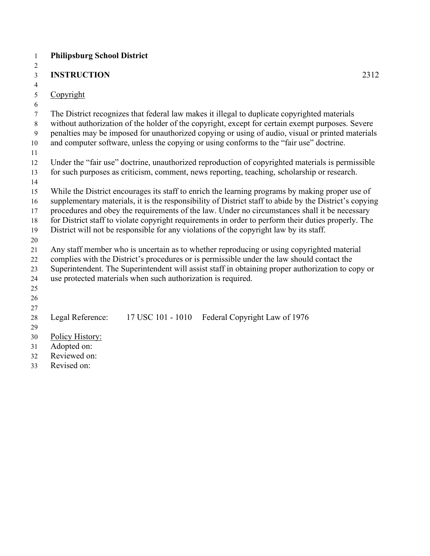| 1              | <b>Philipsburg School District</b>                                                                     |
|----------------|--------------------------------------------------------------------------------------------------------|
| 2              |                                                                                                        |
| $\mathfrak{Z}$ | <b>INSTRUCTION</b><br>2312                                                                             |
| $\overline{4}$ |                                                                                                        |
| $\sqrt{5}$     | Copyright                                                                                              |
| 6              |                                                                                                        |
| $\tau$         | The District recognizes that federal law makes it illegal to duplicate copyrighted materials           |
| 8              | without authorization of the holder of the copyright, except for certain exempt purposes. Severe       |
| 9              | penalties may be imposed for unauthorized copying or using of audio, visual or printed materials       |
| 10             | and computer software, unless the copying or using conforms to the "fair use" doctrine.                |
| 11             |                                                                                                        |
| 12             | Under the "fair use" doctrine, unauthorized reproduction of copyrighted materials is permissible       |
| 13             | for such purposes as criticism, comment, news reporting, teaching, scholarship or research.            |
| 14             |                                                                                                        |
| 15             | While the District encourages its staff to enrich the learning programs by making proper use of        |
| 16             | supplementary materials, it is the responsibility of District staff to abide by the District's copying |
| 17             | procedures and obey the requirements of the law. Under no circumstances shall it be necessary          |
| 18             | for District staff to violate copyright requirements in order to perform their duties properly. The    |
| 19             | District will not be responsible for any violations of the copyright law by its staff.                 |
| 20             |                                                                                                        |
| 21             | Any staff member who is uncertain as to whether reproducing or using copyrighted material              |
| 22             | complies with the District's procedures or is permissible under the law should contact the             |
| 23             | Superintendent. The Superintendent will assist staff in obtaining proper authorization to copy or      |
| 24             | use protected materials when such authorization is required.                                           |
| 25             |                                                                                                        |
| 26             |                                                                                                        |
| 27<br>28       | Legal Reference:<br>17 USC 101 - 1010 Federal Copyright Law of 1976                                    |
| 29             |                                                                                                        |
| 30             | Policy History:                                                                                        |
| 31             | Adopted on:                                                                                            |
| 32             | Reviewed on:                                                                                           |
|                |                                                                                                        |

Revised on: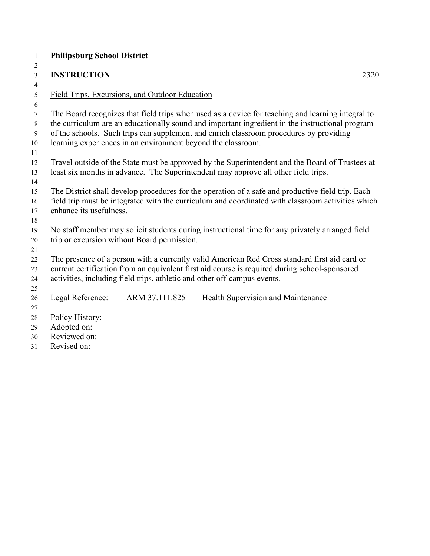| $\mathbf{1}$             | <b>Philipsburg School District</b>                                                                |  |  |  |  |
|--------------------------|---------------------------------------------------------------------------------------------------|--|--|--|--|
| 2                        |                                                                                                   |  |  |  |  |
| $\overline{\mathbf{3}}$  | <b>INSTRUCTION</b><br>2320                                                                        |  |  |  |  |
| $\overline{\mathcal{A}}$ |                                                                                                   |  |  |  |  |
| 5                        | Field Trips, Excursions, and Outdoor Education                                                    |  |  |  |  |
| 6                        |                                                                                                   |  |  |  |  |
| $\tau$                   | The Board recognizes that field trips when used as a device for teaching and learning integral to |  |  |  |  |
| $8\,$                    | the curriculum are an educationally sound and important ingredient in the instructional program   |  |  |  |  |
| 9                        | of the schools. Such trips can supplement and enrich classroom procedures by providing            |  |  |  |  |
| 10                       | learning experiences in an environment beyond the classroom.                                      |  |  |  |  |
| 11<br>12                 | Travel outside of the State must be approved by the Superintendent and the Board of Trustees at   |  |  |  |  |
| 13                       | least six months in advance. The Superintendent may approve all other field trips.                |  |  |  |  |
| 14                       |                                                                                                   |  |  |  |  |
| 15                       | The District shall develop procedures for the operation of a safe and productive field trip. Each |  |  |  |  |
| 16                       | field trip must be integrated with the curriculum and coordinated with classroom activities which |  |  |  |  |
| 17                       | enhance its usefulness.                                                                           |  |  |  |  |
| 18                       |                                                                                                   |  |  |  |  |
| 19                       | No staff member may solicit students during instructional time for any privately arranged field   |  |  |  |  |
| 20                       | trip or excursion without Board permission.                                                       |  |  |  |  |
| 21                       |                                                                                                   |  |  |  |  |
| 22                       | The presence of a person with a currently valid American Red Cross standard first aid card or     |  |  |  |  |
| 23                       | current certification from an equivalent first aid course is required during school-sponsored     |  |  |  |  |
| 24                       | activities, including field trips, athletic and other off-campus events.                          |  |  |  |  |
| 25                       |                                                                                                   |  |  |  |  |
| 26                       | Legal Reference:<br>ARM 37.111.825<br>Health Supervision and Maintenance                          |  |  |  |  |
| 27                       |                                                                                                   |  |  |  |  |
| 28                       | Policy History:                                                                                   |  |  |  |  |
| 29                       | Adopted on:                                                                                       |  |  |  |  |
| 30                       | Reviewed on:                                                                                      |  |  |  |  |

Revised on: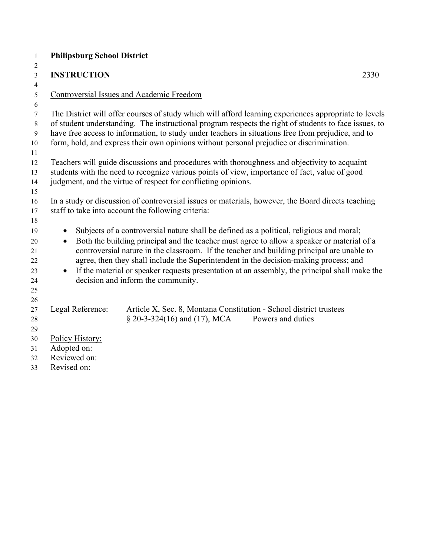| $\mathbf{1}$ | <b>Philipsburg School District</b>                                                                    |                                                                                                       |      |  |  |  |
|--------------|-------------------------------------------------------------------------------------------------------|-------------------------------------------------------------------------------------------------------|------|--|--|--|
| 2            |                                                                                                       |                                                                                                       |      |  |  |  |
| 3            | <b>INSTRUCTION</b>                                                                                    |                                                                                                       | 2330 |  |  |  |
| 4            |                                                                                                       |                                                                                                       |      |  |  |  |
| 5            |                                                                                                       | Controversial Issues and Academic Freedom                                                             |      |  |  |  |
| 6            |                                                                                                       |                                                                                                       |      |  |  |  |
| $\tau$       |                                                                                                       | The District will offer courses of study which will afford learning experiences appropriate to levels |      |  |  |  |
| $8\,$        | of student understanding. The instructional program respects the right of students to face issues, to |                                                                                                       |      |  |  |  |
| 9            |                                                                                                       | have free access to information, to study under teachers in situations free from prejudice, and to    |      |  |  |  |
| 10           |                                                                                                       | form, hold, and express their own opinions without personal prejudice or discrimination.              |      |  |  |  |
| 11<br>12     |                                                                                                       | Teachers will guide discussions and procedures with thoroughness and objectivity to acquaint          |      |  |  |  |
| 13           |                                                                                                       | students with the need to recognize various points of view, importance of fact, value of good         |      |  |  |  |
| 14           |                                                                                                       | judgment, and the virtue of respect for conflicting opinions.                                         |      |  |  |  |
| 15           |                                                                                                       |                                                                                                       |      |  |  |  |
| 16           |                                                                                                       | In a study or discussion of controversial issues or materials, however, the Board directs teaching    |      |  |  |  |
| 17           |                                                                                                       | staff to take into account the following criteria:                                                    |      |  |  |  |
| 18           |                                                                                                       |                                                                                                       |      |  |  |  |
| 19           | $\bullet$                                                                                             | Subjects of a controversial nature shall be defined as a political, religious and moral;              |      |  |  |  |
| 20           | $\bullet$                                                                                             | Both the building principal and the teacher must agree to allow a speaker or material of a            |      |  |  |  |
| 21           |                                                                                                       | controversial nature in the classroom. If the teacher and building principal are unable to            |      |  |  |  |
| 22           |                                                                                                       | agree, then they shall include the Superintendent in the decision-making process; and                 |      |  |  |  |
| 23           | $\bullet$                                                                                             | If the material or speaker requests presentation at an assembly, the principal shall make the         |      |  |  |  |
| 24           |                                                                                                       | decision and inform the community.                                                                    |      |  |  |  |
| 25           |                                                                                                       |                                                                                                       |      |  |  |  |
| 26           |                                                                                                       |                                                                                                       |      |  |  |  |
| $27\,$       | Legal Reference:                                                                                      | Article X, Sec. 8, Montana Constitution - School district trustees                                    |      |  |  |  |
| 28           |                                                                                                       | $\S$ 20-3-324(16) and (17), MCA<br>Powers and duties                                                  |      |  |  |  |
| 29           |                                                                                                       |                                                                                                       |      |  |  |  |
| 30           | Policy History:                                                                                       |                                                                                                       |      |  |  |  |
| 31           | Adopted on:                                                                                           |                                                                                                       |      |  |  |  |
| 32           | Reviewed on:                                                                                          |                                                                                                       |      |  |  |  |
| 33           | Revised on:                                                                                           |                                                                                                       |      |  |  |  |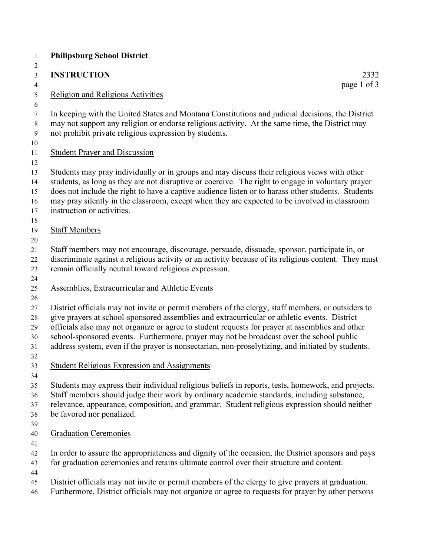| $\mathbf{1}$<br>$\overline{c}$           | <b>Philipsburg School District</b>                                                                                                                                                                                                                                                                                                                                                                                                                                                                    |
|------------------------------------------|-------------------------------------------------------------------------------------------------------------------------------------------------------------------------------------------------------------------------------------------------------------------------------------------------------------------------------------------------------------------------------------------------------------------------------------------------------------------------------------------------------|
| $\mathfrak{Z}$                           | <b>INSTRUCTION</b><br>2332                                                                                                                                                                                                                                                                                                                                                                                                                                                                            |
| $\overline{4}$                           | page 1 of 3                                                                                                                                                                                                                                                                                                                                                                                                                                                                                           |
| $\sqrt{5}$<br>6                          | <b>Religion and Religious Activities</b>                                                                                                                                                                                                                                                                                                                                                                                                                                                              |
| $\boldsymbol{7}$<br>$8\,$<br>9           | In keeping with the United States and Montana Constitutions and judicial decisions, the District<br>may not support any religion or endorse religious activity. At the same time, the District may<br>not prohibit private religious expression by students.                                                                                                                                                                                                                                          |
| $10\,$<br>11<br>12                       | <b>Student Prayer and Discussion</b>                                                                                                                                                                                                                                                                                                                                                                                                                                                                  |
| 13<br>14<br>15<br>16<br>17<br>18         | Students may pray individually or in groups and may discuss their religious views with other<br>students, as long as they are not disruptive or coercive. The right to engage in voluntary prayer<br>does not include the right to have a captive audience listen or to harass other students. Students<br>may pray silently in the classroom, except when they are expected to be involved in classroom<br>instruction or activities.                                                                |
| 19<br>$20\,$                             | <b>Staff Members</b>                                                                                                                                                                                                                                                                                                                                                                                                                                                                                  |
| 21<br>$22\,$<br>23<br>24                 | Staff members may not encourage, discourage, persuade, dissuade, sponsor, participate in, or<br>discriminate against a religious activity or an activity because of its religious content. They must<br>remain officially neutral toward religious expression.                                                                                                                                                                                                                                        |
| $25\,$<br>26                             | <b>Assemblies, Extracurricular and Athletic Events</b>                                                                                                                                                                                                                                                                                                                                                                                                                                                |
| $27\,$<br>$28\,$<br>29<br>30<br>31<br>32 | District officials may not invite or permit members of the clergy, staff members, or outsiders to<br>give prayers at school-sponsored assemblies and extracurricular or athletic events. District<br>officials also may not organize or agree to student requests for prayer at assemblies and other<br>school-sponsored events. Furthermore, prayer may not be broadcast over the school public<br>address system, even if the prayer is nonsectarian, non-proselytizing, and initiated by students. |
| 33<br>34                                 | <b>Student Religious Expression and Assignments</b>                                                                                                                                                                                                                                                                                                                                                                                                                                                   |
| 35<br>36<br>37<br>38<br>39               | Students may express their individual religious beliefs in reports, tests, homework, and projects.<br>Staff members should judge their work by ordinary academic standards, including substance,<br>relevance, appearance, composition, and grammar. Student religious expression should neither<br>be favored nor penalized.                                                                                                                                                                         |
| 40<br>41                                 | <b>Graduation Ceremonies</b>                                                                                                                                                                                                                                                                                                                                                                                                                                                                          |
| 42<br>43<br>44                           | In order to assure the appropriateness and dignity of the occasion, the District sponsors and pays<br>for graduation ceremonies and retains ultimate control over their structure and content.                                                                                                                                                                                                                                                                                                        |
| 45<br>46                                 | District officials may not invite or permit members of the clergy to give prayers at graduation.<br>Furthermore, District officials may not organize or agree to requests for prayer by other persons                                                                                                                                                                                                                                                                                                 |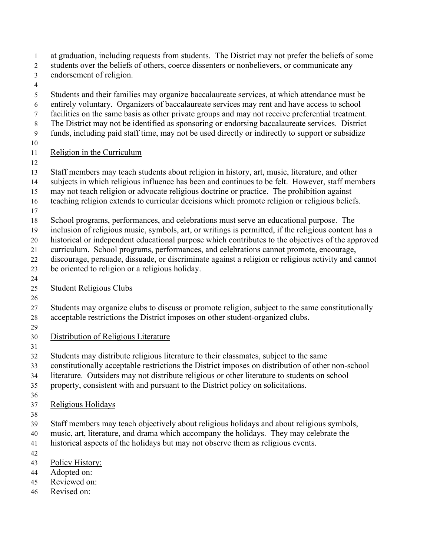- at graduation, including requests from students. The District may not prefer the beliefs of some 2 students over the beliefs of others, coerce dissenters or nonbelievers, or communicate any
- endorsement of religion.
- 
- Students and their families may organize baccalaureate services, at which attendance must be entirely voluntary. Organizers of baccalaureate services may rent and have access to school facilities on the same basis as other private groups and may not receive preferential treatment. The District may not be identified as sponsoring or endorsing baccalaureate services. District funds, including paid staff time, may not be used directly or indirectly to support or subsidize
- 
- Religion in the Curriculum
- 
- Staff members may teach students about religion in history, art, music, literature, and other
- subjects in which religious influence has been and continues to be felt. However, staff members
- may not teach religion or advocate religious doctrine or practice. The prohibition against
- teaching religion extends to curricular decisions which promote religion or religious beliefs.
- 
- School programs, performances, and celebrations must serve an educational purpose. The
- inclusion of religious music, symbols, art, or writings is permitted, if the religious content has a
- historical or independent educational purpose which contributes to the objectives of the approved
- curriculum. School programs, performances, and celebrations cannot promote, encourage,
- discourage, persuade, dissuade, or discriminate against a religion or religious activity and cannot
- be oriented to religion or a religious holiday.
- 

# Student Religious Clubs

- 
- Students may organize clubs to discuss or promote religion, subject to the same constitutionally
- acceptable restrictions the District imposes on other student-organized clubs.
- 
- Distribution of Religious Literature
- 
- Students may distribute religious literature to their classmates, subject to the same
- constitutionally acceptable restrictions the District imposes on distribution of other non-school
- literature. Outsiders may not distribute religious or other literature to students on school
- property, consistent with and pursuant to the District policy on solicitations.
- 
- Religious Holidays
- 
- Staff members may teach objectively about religious holidays and about religious symbols,
- music, art, literature, and drama which accompany the holidays. They may celebrate the
- historical aspects of the holidays but may not observe them as religious events.
- 
- Policy History:
- Adopted on:
- Reviewed on:
- Revised on: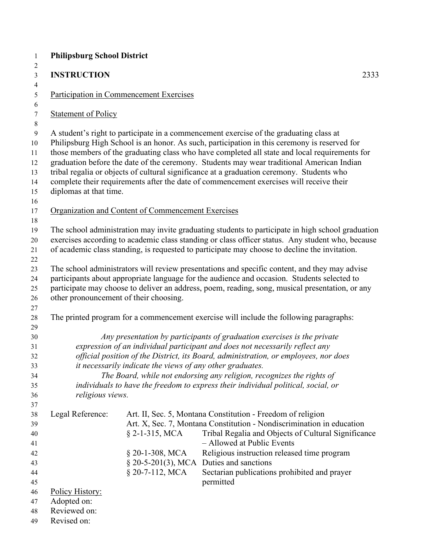| <b>INSTRUCTION</b>                                                                                                                                                                                                                                                                                                                        |                                                            | 2333                                                                                                                                                                                                                                                                                                                                                                                                                                                                                                      |  |  |  |
|-------------------------------------------------------------------------------------------------------------------------------------------------------------------------------------------------------------------------------------------------------------------------------------------------------------------------------------------|------------------------------------------------------------|-----------------------------------------------------------------------------------------------------------------------------------------------------------------------------------------------------------------------------------------------------------------------------------------------------------------------------------------------------------------------------------------------------------------------------------------------------------------------------------------------------------|--|--|--|
| Participation in Commencement Exercises                                                                                                                                                                                                                                                                                                   |                                                            |                                                                                                                                                                                                                                                                                                                                                                                                                                                                                                           |  |  |  |
| <b>Statement of Policy</b>                                                                                                                                                                                                                                                                                                                |                                                            |                                                                                                                                                                                                                                                                                                                                                                                                                                                                                                           |  |  |  |
|                                                                                                                                                                                                                                                                                                                                           |                                                            | Philipsburg High School is an honor. As such, participation in this ceremony is reserved for<br>those members of the graduating class who have completed all state and local requirements for<br>graduation before the date of the ceremony. Students may wear traditional American Indian                                                                                                                                                                                                                |  |  |  |
|                                                                                                                                                                                                                                                                                                                                           |                                                            |                                                                                                                                                                                                                                                                                                                                                                                                                                                                                                           |  |  |  |
|                                                                                                                                                                                                                                                                                                                                           |                                                            |                                                                                                                                                                                                                                                                                                                                                                                                                                                                                                           |  |  |  |
|                                                                                                                                                                                                                                                                                                                                           |                                                            | The school administration may invite graduating students to participate in high school graduation<br>exercises according to academic class standing or class officer status. Any student who, because<br>of academic class standing, is requested to participate may choose to decline the invitation.                                                                                                                                                                                                    |  |  |  |
| The school administrators will review presentations and specific content, and they may advise<br>participants about appropriate language for the audience and occasion. Students selected to<br>participate may choose to deliver an address, poem, reading, song, musical presentation, or any<br>other pronouncement of their choosing. |                                                            |                                                                                                                                                                                                                                                                                                                                                                                                                                                                                                           |  |  |  |
|                                                                                                                                                                                                                                                                                                                                           |                                                            | The printed program for a commencement exercise will include the following paragraphs:                                                                                                                                                                                                                                                                                                                                                                                                                    |  |  |  |
|                                                                                                                                                                                                                                                                                                                                           |                                                            | Any presentation by participants of graduation exercises is the private<br>expression of an individual participant and does not necessarily reflect any<br>official position of the District, its Board, administration, or employees, nor does<br>The Board, while not endorsing any religion, recognizes the rights of<br>individuals to have the freedom to express their individual political, social, or                                                                                             |  |  |  |
| Legal Reference:<br>Policy History:<br>Adopted on:<br>Reviewed on:<br>Revised on:                                                                                                                                                                                                                                                         | $§$ 2-1-315, MCA<br>$§$ 20-1-308, MCA<br>$§$ 20-7-112, MCA | Art. II, Sec. 5, Montana Constitution - Freedom of religion<br>Art. X, Sec. 7, Montana Constitution - Nondiscrimination in education<br>Tribal Regalia and Objects of Cultural Significance<br>- Allowed at Public Events<br>Religious instruction released time program<br>Sectarian publications prohibited and prayer<br>permitted                                                                                                                                                                     |  |  |  |
|                                                                                                                                                                                                                                                                                                                                           | diplomas at that time.                                     | <b>Philipsburg School District</b><br>A student's right to participate in a commencement exercise of the graduating class at<br>tribal regalia or objects of cultural significance at a graduation ceremony. Students who<br>complete their requirements after the date of commencement exercises will receive their<br>Organization and Content of Commencement Exercises<br>it necessarily indicate the views of any other graduates.<br>religious views.<br>$\S$ 20-5-201(3), MCA Duties and sanctions |  |  |  |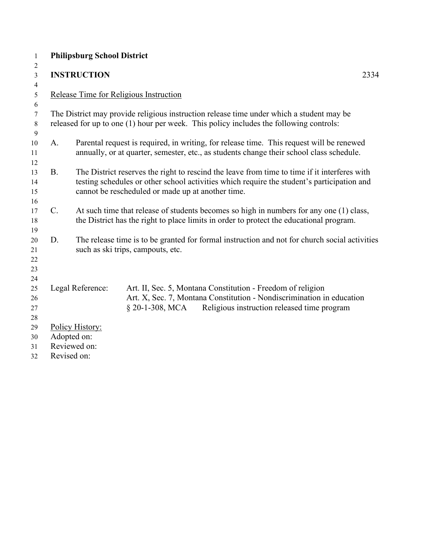| $\mathbf{1}$    |           | <b>Philipsburg School District</b>                                                                                                 |                                                                                                                                                                                      |      |
|-----------------|-----------|------------------------------------------------------------------------------------------------------------------------------------|--------------------------------------------------------------------------------------------------------------------------------------------------------------------------------------|------|
| 2<br>3          |           | <b>INSTRUCTION</b>                                                                                                                 |                                                                                                                                                                                      | 2334 |
| $\overline{4}$  |           |                                                                                                                                    |                                                                                                                                                                                      |      |
| 5               |           |                                                                                                                                    | Release Time for Religious Instruction                                                                                                                                               |      |
| 6               |           |                                                                                                                                    |                                                                                                                                                                                      |      |
| $\tau$<br>$8\,$ |           |                                                                                                                                    | The District may provide religious instruction release time under which a student may be<br>released for up to one (1) hour per week. This policy includes the following controls:   |      |
| 9               |           |                                                                                                                                    |                                                                                                                                                                                      |      |
| 10<br>11        | A.        |                                                                                                                                    | Parental request is required, in writing, for release time. This request will be renewed<br>annually, or at quarter, semester, etc., as students change their school class schedule. |      |
|                 |           |                                                                                                                                    |                                                                                                                                                                                      |      |
| 12<br>13        | <b>B.</b> |                                                                                                                                    | The District reserves the right to rescind the leave from time to time if it interferes with                                                                                         |      |
| 14              |           |                                                                                                                                    | testing schedules or other school activities which require the student's participation and                                                                                           |      |
| 15              |           |                                                                                                                                    | cannot be rescheduled or made up at another time.                                                                                                                                    |      |
| 16              |           |                                                                                                                                    |                                                                                                                                                                                      |      |
| 17              | C.        |                                                                                                                                    | At such time that release of students becomes so high in numbers for any one (1) class,                                                                                              |      |
| 18              |           |                                                                                                                                    | the District has the right to place limits in order to protect the educational program.                                                                                              |      |
| 19              |           |                                                                                                                                    |                                                                                                                                                                                      |      |
| 20              | D.        | The release time is to be granted for formal instruction and not for church social activities<br>such as ski trips, campouts, etc. |                                                                                                                                                                                      |      |
| 21<br>22        |           |                                                                                                                                    |                                                                                                                                                                                      |      |
| 23              |           |                                                                                                                                    |                                                                                                                                                                                      |      |
| 24              |           |                                                                                                                                    |                                                                                                                                                                                      |      |
| 25              |           | Legal Reference:                                                                                                                   | Art. II, Sec. 5, Montana Constitution - Freedom of religion                                                                                                                          |      |
| 26              |           |                                                                                                                                    | Art. X, Sec. 7, Montana Constitution - Nondiscrimination in education                                                                                                                |      |
| 27              |           |                                                                                                                                    | $§$ 20-1-308, MCA<br>Religious instruction released time program                                                                                                                     |      |
| 28              |           |                                                                                                                                    |                                                                                                                                                                                      |      |
| 29              |           | Policy History:                                                                                                                    |                                                                                                                                                                                      |      |
| 30              |           | Adopted on:                                                                                                                        |                                                                                                                                                                                      |      |
| 31              |           | Reviewed on:                                                                                                                       |                                                                                                                                                                                      |      |
| 32              |           | Revised on:                                                                                                                        |                                                                                                                                                                                      |      |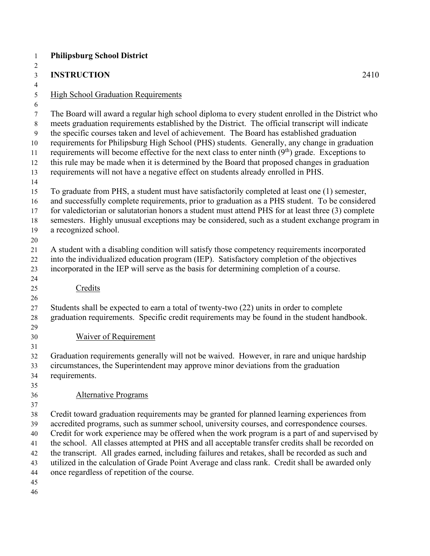| $\mathbf{1}$                                       | <b>Philipsburg School District</b>                                                                                                                                                                                                                                                                                                                                                                                                                                                                                                                                                                                                                                                          |
|----------------------------------------------------|---------------------------------------------------------------------------------------------------------------------------------------------------------------------------------------------------------------------------------------------------------------------------------------------------------------------------------------------------------------------------------------------------------------------------------------------------------------------------------------------------------------------------------------------------------------------------------------------------------------------------------------------------------------------------------------------|
| 2<br>$\mathfrak{Z}$                                | <b>INSTRUCTION</b><br>2410                                                                                                                                                                                                                                                                                                                                                                                                                                                                                                                                                                                                                                                                  |
| $\overline{4}$                                     |                                                                                                                                                                                                                                                                                                                                                                                                                                                                                                                                                                                                                                                                                             |
| 5<br>6                                             | <b>High School Graduation Requirements</b>                                                                                                                                                                                                                                                                                                                                                                                                                                                                                                                                                                                                                                                  |
| $\tau$<br>8<br>9<br>10<br>11<br>12<br>13<br>14     | The Board will award a regular high school diploma to every student enrolled in the District who<br>meets graduation requirements established by the District. The official transcript will indicate<br>the specific courses taken and level of achievement. The Board has established graduation<br>requirements for Philipsburg High School (PHS) students. Generally, any change in graduation<br>requirements will become effective for the next class to enter ninth $(9th)$ grade. Exceptions to<br>this rule may be made when it is determined by the Board that proposed changes in graduation<br>requirements will not have a negative effect on students already enrolled in PHS. |
| 15<br>16<br>17<br>18<br>19<br>20                   | To graduate from PHS, a student must have satisfactorily completed at least one (1) semester,<br>and successfully complete requirements, prior to graduation as a PHS student. To be considered<br>for valedictorian or salutatorian honors a student must attend PHS for at least three (3) complete<br>semesters. Highly unusual exceptions may be considered, such as a student exchange program in<br>a recognized school.                                                                                                                                                                                                                                                              |
| 21<br>22<br>23<br>24                               | A student with a disabling condition will satisfy those competency requirements incorporated<br>into the individualized education program (IEP). Satisfactory completion of the objectives<br>incorporated in the IEP will serve as the basis for determining completion of a course.                                                                                                                                                                                                                                                                                                                                                                                                       |
| 25                                                 | Credits                                                                                                                                                                                                                                                                                                                                                                                                                                                                                                                                                                                                                                                                                     |
| 26<br>27<br>28<br>29<br>30                         | Students shall be expected to earn a total of twenty-two (22) units in order to complete<br>graduation requirements. Specific credit requirements may be found in the student handbook.<br><b>Waiver of Requirement</b>                                                                                                                                                                                                                                                                                                                                                                                                                                                                     |
| 31                                                 |                                                                                                                                                                                                                                                                                                                                                                                                                                                                                                                                                                                                                                                                                             |
| 32<br>33<br>34<br>35                               | Graduation requirements generally will not be waived. However, in rare and unique hardship<br>circumstances, the Superintendent may approve minor deviations from the graduation<br>requirements.                                                                                                                                                                                                                                                                                                                                                                                                                                                                                           |
| 36<br>37                                           | <b>Alternative Programs</b>                                                                                                                                                                                                                                                                                                                                                                                                                                                                                                                                                                                                                                                                 |
| 38<br>39<br>40<br>41<br>42<br>43<br>44<br>45<br>46 | Credit toward graduation requirements may be granted for planned learning experiences from<br>accredited programs, such as summer school, university courses, and correspondence courses.<br>Credit for work experience may be offered when the work program is a part of and supervised by<br>the school. All classes attempted at PHS and all acceptable transfer credits shall be recorded on<br>the transcript. All grades earned, including failures and retakes, shall be recorded as such and<br>utilized in the calculation of Grade Point Average and class rank. Credit shall be awarded only<br>once regardless of repetition of the course.                                     |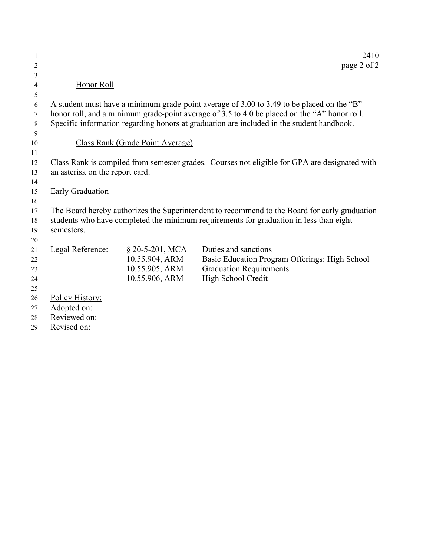| 1  |                                                                                               |                                  | 2410                                                                                          |  |
|----|-----------------------------------------------------------------------------------------------|----------------------------------|-----------------------------------------------------------------------------------------------|--|
| 2  |                                                                                               |                                  | page 2 of 2                                                                                   |  |
| 3  |                                                                                               |                                  |                                                                                               |  |
| 4  | Honor Roll                                                                                    |                                  |                                                                                               |  |
| 5  |                                                                                               |                                  |                                                                                               |  |
| 6  |                                                                                               |                                  | A student must have a minimum grade-point average of 3.00 to 3.49 to be placed on the "B"     |  |
| 7  |                                                                                               |                                  | honor roll, and a minimum grade-point average of 3.5 to 4.0 be placed on the "A" honor roll.  |  |
| 8  |                                                                                               |                                  | Specific information regarding honors at graduation are included in the student handbook.     |  |
| 9  |                                                                                               |                                  |                                                                                               |  |
| 10 |                                                                                               | Class Rank (Grade Point Average) |                                                                                               |  |
| 11 |                                                                                               |                                  |                                                                                               |  |
| 12 |                                                                                               |                                  | Class Rank is compiled from semester grades. Courses not eligible for GPA are designated with |  |
| 13 | an asterisk on the report card.                                                               |                                  |                                                                                               |  |
| 14 |                                                                                               |                                  |                                                                                               |  |
| 15 | <b>Early Graduation</b>                                                                       |                                  |                                                                                               |  |
| 16 |                                                                                               |                                  |                                                                                               |  |
| 17 | The Board hereby authorizes the Superintendent to recommend to the Board for early graduation |                                  |                                                                                               |  |
| 18 | students who have completed the minimum requirements for graduation in less than eight        |                                  |                                                                                               |  |
| 19 | semesters.                                                                                    |                                  |                                                                                               |  |
| 20 |                                                                                               |                                  |                                                                                               |  |
| 21 | Legal Reference:                                                                              | $$20-5-201, MCA$                 | Duties and sanctions                                                                          |  |
| 22 |                                                                                               | 10.55.904, ARM                   | Basic Education Program Offerings: High School                                                |  |
| 23 |                                                                                               | 10.55.905, ARM                   | <b>Graduation Requirements</b>                                                                |  |
| 24 |                                                                                               | 10.55.906, ARM                   | High School Credit                                                                            |  |
| 25 |                                                                                               |                                  |                                                                                               |  |
| 26 | Policy History:                                                                               |                                  |                                                                                               |  |
| 27 | Adopted on:                                                                                   |                                  |                                                                                               |  |
| 28 | Reviewed on:                                                                                  |                                  |                                                                                               |  |
| 29 | Revised on:                                                                                   |                                  |                                                                                               |  |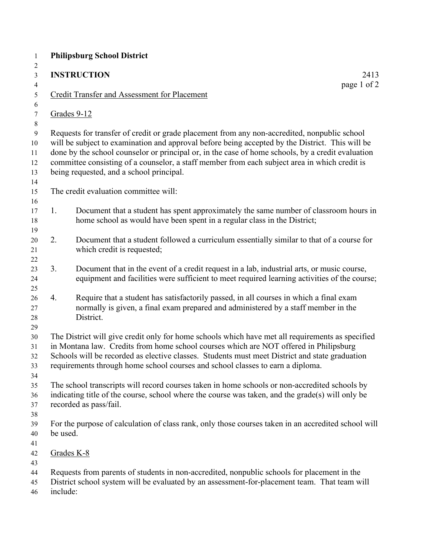|          | <b>INSTRUCTION</b><br>2413                                                                                                                                                                                                                                                                                                                                                                                                                        |
|----------|---------------------------------------------------------------------------------------------------------------------------------------------------------------------------------------------------------------------------------------------------------------------------------------------------------------------------------------------------------------------------------------------------------------------------------------------------|
|          | page 1 of 2<br><b>Credit Transfer and Assessment for Placement</b>                                                                                                                                                                                                                                                                                                                                                                                |
|          | Grades 9-12                                                                                                                                                                                                                                                                                                                                                                                                                                       |
|          | Requests for transfer of credit or grade placement from any non-accredited, nonpublic school<br>will be subject to examination and approval before being accepted by the District. This will be<br>done by the school counselor or principal or, in the case of home schools, by a credit evaluation<br>committee consisting of a counselor, a staff member from each subject area in which credit is<br>being requested, and a school principal. |
|          | The credit evaluation committee will:                                                                                                                                                                                                                                                                                                                                                                                                             |
| 1.       | Document that a student has spent approximately the same number of classroom hours in<br>home school as would have been spent in a regular class in the District;                                                                                                                                                                                                                                                                                 |
| 2.       | Document that a student followed a curriculum essentially similar to that of a course for<br>which credit is requested;                                                                                                                                                                                                                                                                                                                           |
| 3.       | Document that in the event of a credit request in a lab, industrial arts, or music course,<br>equipment and facilities were sufficient to meet required learning activities of the course;                                                                                                                                                                                                                                                        |
| 4.       | Require that a student has satisfactorily passed, in all courses in which a final exam<br>normally is given, a final exam prepared and administered by a staff member in the<br>District.                                                                                                                                                                                                                                                         |
|          | The District will give credit only for home schools which have met all requirements as specified<br>in Montana law. Credits from home school courses which are NOT offered in Philipsburg<br>Schools will be recorded as elective classes. Students must meet District and state graduation<br>requirements through home school courses and school classes to earn a diploma.                                                                     |
|          | The school transcripts will record courses taken in home schools or non-accredited schools by<br>indicating title of the course, school where the course was taken, and the grade(s) will only be<br>recorded as pass/fail.                                                                                                                                                                                                                       |
| be used. | For the purpose of calculation of class rank, only those courses taken in an accredited school will                                                                                                                                                                                                                                                                                                                                               |
|          | Grades K-8                                                                                                                                                                                                                                                                                                                                                                                                                                        |
| include: | Requests from parents of students in non-accredited, nonpublic schools for placement in the<br>District school system will be evaluated by an assessment-for-placement team. That team will                                                                                                                                                                                                                                                       |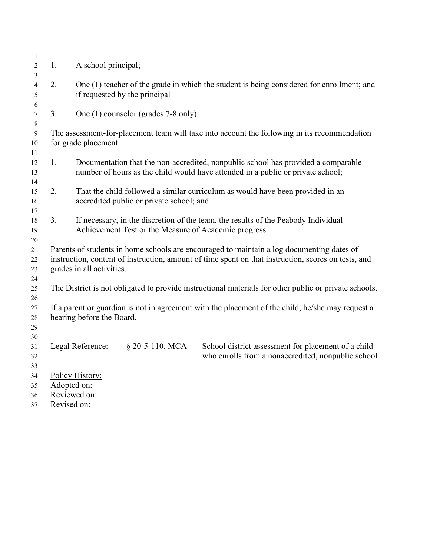| $\mathbf{1}$   |                           |                                                                                                     |                                          |                                                                                                                                                                      |  |  |
|----------------|---------------------------|-----------------------------------------------------------------------------------------------------|------------------------------------------|----------------------------------------------------------------------------------------------------------------------------------------------------------------------|--|--|
| $\overline{2}$ | 1.                        | A school principal;                                                                                 |                                          |                                                                                                                                                                      |  |  |
| 3              |                           |                                                                                                     |                                          |                                                                                                                                                                      |  |  |
| 4<br>5         | 2.                        |                                                                                                     | if requested by the principal            | One (1) teacher of the grade in which the student is being considered for enrollment; and                                                                            |  |  |
| 6              |                           |                                                                                                     |                                          |                                                                                                                                                                      |  |  |
| $\tau$         | 3.                        |                                                                                                     | One (1) counselor (grades 7-8 only).     |                                                                                                                                                                      |  |  |
| $8\,$          |                           |                                                                                                     |                                          |                                                                                                                                                                      |  |  |
| 9              |                           |                                                                                                     |                                          | The assessment-for-placement team will take into account the following in its recommendation                                                                         |  |  |
| 10             |                           | for grade placement:                                                                                |                                          |                                                                                                                                                                      |  |  |
| 11             |                           |                                                                                                     |                                          |                                                                                                                                                                      |  |  |
| 12<br>13       | 1.                        |                                                                                                     |                                          | Documentation that the non-accredited, nonpublic school has provided a comparable<br>number of hours as the child would have attended in a public or private school; |  |  |
| 14             |                           |                                                                                                     |                                          |                                                                                                                                                                      |  |  |
| 15             | 2.                        |                                                                                                     |                                          | That the child followed a similar curriculum as would have been provided in an                                                                                       |  |  |
| 16             |                           |                                                                                                     | accredited public or private school; and |                                                                                                                                                                      |  |  |
| 17             |                           |                                                                                                     |                                          |                                                                                                                                                                      |  |  |
| 18             | 3.                        |                                                                                                     |                                          | If necessary, in the discretion of the team, the results of the Peabody Individual                                                                                   |  |  |
| 19             |                           |                                                                                                     |                                          | Achievement Test or the Measure of Academic progress.                                                                                                                |  |  |
| 20             |                           |                                                                                                     |                                          |                                                                                                                                                                      |  |  |
| 21             |                           |                                                                                                     |                                          | Parents of students in home schools are encouraged to maintain a log documenting dates of                                                                            |  |  |
| 22             |                           | instruction, content of instruction, amount of time spent on that instruction, scores on tests, and |                                          |                                                                                                                                                                      |  |  |
| 23             | grades in all activities. |                                                                                                     |                                          |                                                                                                                                                                      |  |  |
| 24             |                           |                                                                                                     |                                          |                                                                                                                                                                      |  |  |
| 25             |                           |                                                                                                     |                                          | The District is not obligated to provide instructional materials for other public or private schools.                                                                |  |  |
| 26             |                           |                                                                                                     |                                          |                                                                                                                                                                      |  |  |
| 27             |                           |                                                                                                     |                                          | If a parent or guardian is not in agreement with the placement of the child, he/she may request a                                                                    |  |  |
| 28             |                           | hearing before the Board.                                                                           |                                          |                                                                                                                                                                      |  |  |
| 29             |                           |                                                                                                     |                                          |                                                                                                                                                                      |  |  |
| 30             |                           |                                                                                                     |                                          |                                                                                                                                                                      |  |  |
| 31             |                           | Legal Reference:                                                                                    | $$20-5-110, MCA$                         | School district assessment for placement of a child                                                                                                                  |  |  |
| 32             |                           |                                                                                                     |                                          | who enrolls from a nonaccredited, nonpublic school                                                                                                                   |  |  |
| 33             |                           |                                                                                                     |                                          |                                                                                                                                                                      |  |  |
| 34             |                           | Policy History:                                                                                     |                                          |                                                                                                                                                                      |  |  |
| 35             |                           | Adopted on:                                                                                         |                                          |                                                                                                                                                                      |  |  |
| 36             |                           | Reviewed on:                                                                                        |                                          |                                                                                                                                                                      |  |  |
| 37             | Revised on:               |                                                                                                     |                                          |                                                                                                                                                                      |  |  |
|                |                           |                                                                                                     |                                          |                                                                                                                                                                      |  |  |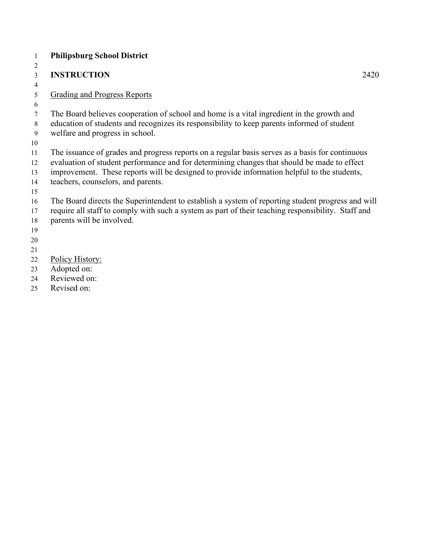- **Philipsburg School District INSTRUCTION** 2420 Grading and Progress Reports The Board believes cooperation of school and home is a vital ingredient in the growth and education of students and recognizes its responsibility to keep parents informed of student welfare and progress in school. The issuance of grades and progress reports on a regular basis serves as a basis for continuous evaluation of student performance and for determining changes that should be made to effect improvement. These reports will be designed to provide information helpful to the students, teachers, counselors, and parents. The Board directs the Superintendent to establish a system of reporting student progress and will require all staff to comply with such a system as part of their teaching responsibility. Staff and parents will be involved. Policy History: Adopted on: Reviewed on:
- Revised on: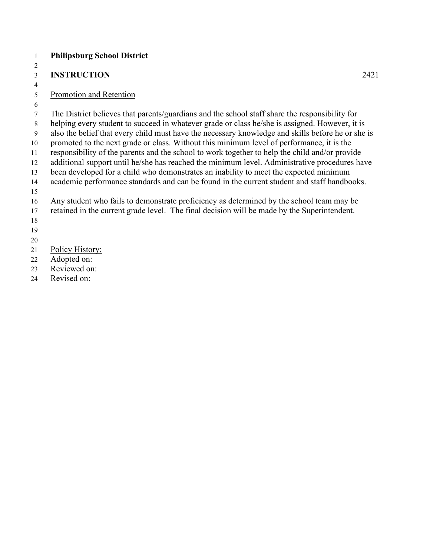#### **Philipsburg School District**

### **INSTRUCTION** 2421

## Promotion and Retention

 The District believes that parents/guardians and the school staff share the responsibility for helping every student to succeed in whatever grade or class he/she is assigned. However, it is also the belief that every child must have the necessary knowledge and skills before he or she is

 promoted to the next grade or class. Without this minimum level of performance, it is the responsibility of the parents and the school to work together to help the child and/or provide

additional support until he/she has reached the minimum level. Administrative procedures have

been developed for a child who demonstrates an inability to meet the expected minimum

academic performance standards and can be found in the current student and staff handbooks.

Any student who fails to demonstrate proficiency as determined by the school team may be

retained in the current grade level. The final decision will be made by the Superintendent.

Policy History:

Adopted on:

Reviewed on:

Revised on: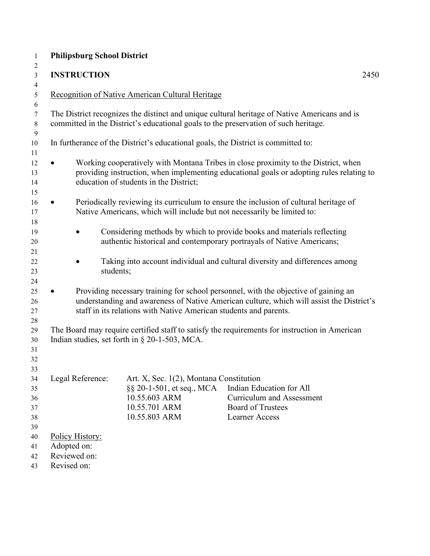| <b>INSTRUCTION</b>                                            |                                                                                                                         | 2450                                                                                                                                                                            |
|---------------------------------------------------------------|-------------------------------------------------------------------------------------------------------------------------|---------------------------------------------------------------------------------------------------------------------------------------------------------------------------------|
|                                                               | Recognition of Native American Cultural Heritage                                                                        |                                                                                                                                                                                 |
|                                                               | committed in the District's educational goals to the preservation of such heritage.                                     | The District recognizes the distinct and unique cultural heritage of Native Americans and is                                                                                    |
|                                                               | In furtherance of the District's educational goals, the District is committed to:                                       |                                                                                                                                                                                 |
|                                                               | education of students in the District;                                                                                  | Working cooperatively with Montana Tribes in close proximity to the District, when<br>providing instruction, when implementing educational goals or adopting rules relating to  |
| $\bullet$                                                     | Native Americans, which will include but not necessarily be limited to:                                                 | Periodically reviewing its curriculum to ensure the inclusion of cultural heritage of                                                                                           |
|                                                               |                                                                                                                         | Considering methods by which to provide books and materials reflecting<br>authentic historical and contemporary portrayals of Native Americans;                                 |
| students;                                                     |                                                                                                                         | Taking into account individual and cultural diversity and differences among                                                                                                     |
|                                                               | staff in its relations with Native American students and parents.                                                       | Providing necessary training for school personnel, with the objective of gaining an<br>understanding and awareness of Native American culture, which will assist the District's |
|                                                               | Indian studies, set forth in § 20-1-503, MCA.                                                                           | The Board may require certified staff to satisfy the requirements for instruction in American                                                                                   |
| Legal Reference:                                              | Art. X, Sec. 1(2), Montana Constitution<br>§§ 20-1-501, et seq., MCA<br>10.55.603 ARM<br>10.55.701 ARM<br>10.55.803 ARM | Indian Education for All<br><b>Curriculum and Assessment</b><br><b>Board of Trustees</b><br><b>Learner Access</b>                                                               |
| Policy History:<br>Adopted on:<br>Reviewed on:<br>Revised on: |                                                                                                                         |                                                                                                                                                                                 |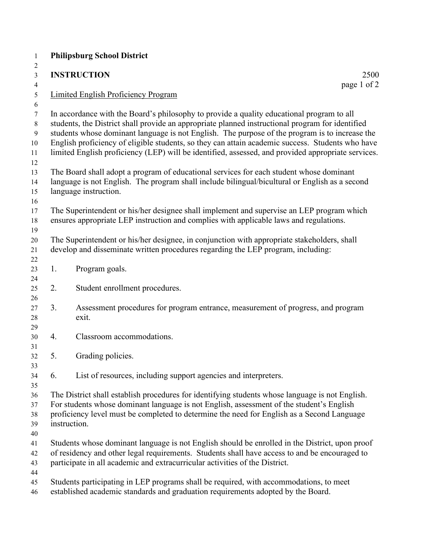|    | <b>INSTRUCTION</b><br>2500<br>page 1 of 2                                                                                                                                                                                                                                                                                                                                                                                                                                                                 |
|----|-----------------------------------------------------------------------------------------------------------------------------------------------------------------------------------------------------------------------------------------------------------------------------------------------------------------------------------------------------------------------------------------------------------------------------------------------------------------------------------------------------------|
|    | <b>Limited English Proficiency Program</b>                                                                                                                                                                                                                                                                                                                                                                                                                                                                |
|    | In accordance with the Board's philosophy to provide a quality educational program to all<br>students, the District shall provide an appropriate planned instructional program for identified<br>students whose dominant language is not English. The purpose of the program is to increase the<br>English proficiency of eligible students, so they can attain academic success. Students who have<br>limited English proficiency (LEP) will be identified, assessed, and provided appropriate services. |
|    | The Board shall adopt a program of educational services for each student whose dominant<br>language is not English. The program shall include bilingual/bicultural or English as a second<br>language instruction.                                                                                                                                                                                                                                                                                        |
|    | The Superintendent or his/her designee shall implement and supervise an LEP program which<br>ensures appropriate LEP instruction and complies with applicable laws and regulations.                                                                                                                                                                                                                                                                                                                       |
|    | The Superintendent or his/her designee, in conjunction with appropriate stakeholders, shall<br>develop and disseminate written procedures regarding the LEP program, including:                                                                                                                                                                                                                                                                                                                           |
| 1. | Program goals.                                                                                                                                                                                                                                                                                                                                                                                                                                                                                            |
| 2. | Student enrollment procedures.                                                                                                                                                                                                                                                                                                                                                                                                                                                                            |
| 3. | Assessment procedures for program entrance, measurement of progress, and program<br>exit.                                                                                                                                                                                                                                                                                                                                                                                                                 |
| 4. | Classroom accommodations.                                                                                                                                                                                                                                                                                                                                                                                                                                                                                 |
| 5. | Grading policies.                                                                                                                                                                                                                                                                                                                                                                                                                                                                                         |
| 6. | List of resources, including support agencies and interpreters.                                                                                                                                                                                                                                                                                                                                                                                                                                           |
|    | The District shall establish procedures for identifying students whose language is not English.<br>For students whose dominant language is not English, assessment of the student's English<br>proficiency level must be completed to determine the need for English as a Second Language<br>instruction.                                                                                                                                                                                                 |
|    | Students whose dominant language is not English should be enrolled in the District, upon proof<br>of residency and other legal requirements. Students shall have access to and be encouraged to<br>participate in all academic and extracurricular activities of the District.                                                                                                                                                                                                                            |
|    | Students participating in LEP programs shall be required, with accommodations, to meet<br>established academic standards and graduation requirements adopted by the Board.                                                                                                                                                                                                                                                                                                                                |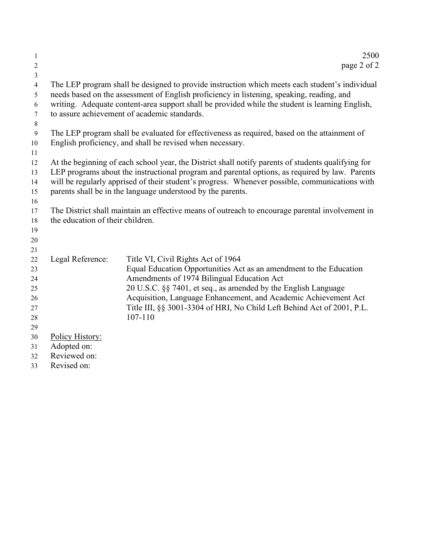| $\mathbf{1}$<br>$\overline{2}$   |                                  | 2500<br>page 2 of 2                                                                                |
|----------------------------------|----------------------------------|----------------------------------------------------------------------------------------------------|
| $\mathfrak{Z}$<br>$\overline{4}$ |                                  | The LEP program shall be designed to provide instruction which meets each student's individual     |
| 5                                |                                  | needs based on the assessment of English proficiency in listening, speaking, reading, and          |
| 6                                |                                  | writing. Adequate content-area support shall be provided while the student is learning English,    |
| $\tau$                           |                                  | to assure achievement of academic standards.                                                       |
| 8                                |                                  |                                                                                                    |
| 9                                |                                  | The LEP program shall be evaluated for effectiveness as required, based on the attainment of       |
| 10                               |                                  | English proficiency, and shall be revised when necessary.                                          |
| 11                               |                                  |                                                                                                    |
| 12                               |                                  | At the beginning of each school year, the District shall notify parents of students qualifying for |
| 13                               |                                  | LEP programs about the instructional program and parental options, as required by law. Parents     |
| 14                               |                                  | will be regularly apprised of their student's progress. Whenever possible, communications with     |
| 15<br>16                         |                                  | parents shall be in the language understood by the parents.                                        |
| 17                               |                                  | The District shall maintain an effective means of outreach to encourage parental involvement in    |
| 18                               | the education of their children. |                                                                                                    |
| 19                               |                                  |                                                                                                    |
| 20                               |                                  |                                                                                                    |
| 21                               |                                  |                                                                                                    |
| 22                               | Legal Reference:                 | Title VI, Civil Rights Act of 1964                                                                 |
| 23                               |                                  | Equal Education Opportunities Act as an amendment to the Education                                 |
| 24                               |                                  | Amendments of 1974 Bilingual Education Act                                                         |
| 25                               |                                  | 20 U.S.C. §§ 7401, et seq., as amended by the English Language                                     |
| 26                               |                                  | Acquisition, Language Enhancement, and Academic Achievement Act                                    |
| 27                               |                                  | Title III, §§ 3001-3304 of HRI, No Child Left Behind Act of 2001, P.L.                             |
| 28                               |                                  | 107-110                                                                                            |
| 29                               |                                  |                                                                                                    |
| 30                               | Policy History:                  |                                                                                                    |
| 31<br>32                         | Adopted on:<br>Reviewed on:      |                                                                                                    |
| 33                               | Revised on:                      |                                                                                                    |
|                                  |                                  |                                                                                                    |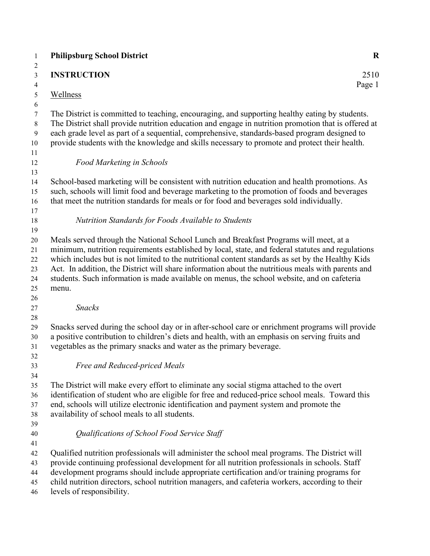| <b>Philipsburg School District</b>                                  | $\mathbf R$                                                                                                                                                                                                                                                                                                                                                                                                                                                                                         |
|---------------------------------------------------------------------|-----------------------------------------------------------------------------------------------------------------------------------------------------------------------------------------------------------------------------------------------------------------------------------------------------------------------------------------------------------------------------------------------------------------------------------------------------------------------------------------------------|
| <b>INSTRUCTION</b>                                                  | 2510<br>Page 1                                                                                                                                                                                                                                                                                                                                                                                                                                                                                      |
| Wellness                                                            |                                                                                                                                                                                                                                                                                                                                                                                                                                                                                                     |
|                                                                     | The District is committed to teaching, encouraging, and supporting healthy eating by students.<br>The District shall provide nutrition education and engage in nutrition promotion that is offered at<br>each grade level as part of a sequential, comprehensive, standards-based program designed to<br>provide students with the knowledge and skills necessary to promote and protect their health.                                                                                              |
| Food Marketing in Schools                                           |                                                                                                                                                                                                                                                                                                                                                                                                                                                                                                     |
|                                                                     | School-based marketing will be consistent with nutrition education and health promotions. As<br>such, schools will limit food and beverage marketing to the promotion of foods and beverages<br>that meet the nutrition standards for meals or for food and beverages sold individually.                                                                                                                                                                                                            |
| Nutrition Standards for Foods Available to Students                 |                                                                                                                                                                                                                                                                                                                                                                                                                                                                                                     |
| menu.                                                               | Meals served through the National School Lunch and Breakfast Programs will meet, at a<br>minimum, nutrition requirements established by local, state, and federal statutes and regulations<br>which includes but is not limited to the nutritional content standards as set by the Healthy Kids<br>Act. In addition, the District will share information about the nutritious meals with parents and<br>students. Such information is made available on menus, the school website, and on cafeteria |
| <b>Snacks</b>                                                       |                                                                                                                                                                                                                                                                                                                                                                                                                                                                                                     |
| vegetables as the primary snacks and water as the primary beverage. | Snacks served during the school day or in after-school care or enrichment programs will provide<br>a positive contribution to children's diets and health, with an emphasis on serving fruits and                                                                                                                                                                                                                                                                                                   |
| Free and Reduced-priced Meals                                       |                                                                                                                                                                                                                                                                                                                                                                                                                                                                                                     |
| availability of school meals to all students.                       | The District will make every effort to eliminate any social stigma attached to the overt<br>identification of student who are eligible for free and reduced-price school meals. Toward this<br>end, schools will utilize electronic identification and payment system and promote the                                                                                                                                                                                                               |
| Qualifications of School Food Service Staff                         |                                                                                                                                                                                                                                                                                                                                                                                                                                                                                                     |
| levels of responsibility.                                           | Qualified nutrition professionals will administer the school meal programs. The District will<br>provide continuing professional development for all nutrition professionals in schools. Staff<br>development programs should include appropriate certification and/or training programs for<br>child nutrition directors, school nutrition managers, and cafeteria workers, according to their                                                                                                     |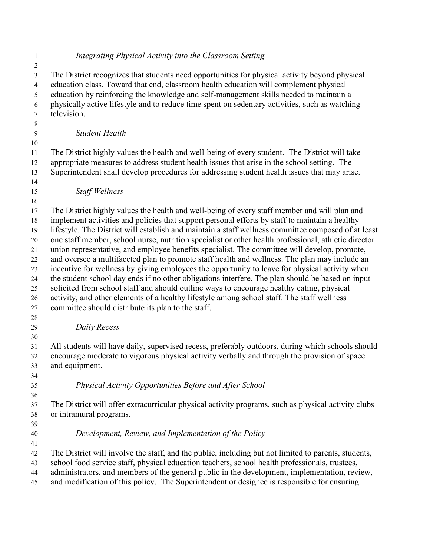| 1<br>$\overline{2}$      | Integrating Physical Activity into the Classroom Setting                                                                                                                                                                                                                                                                                                                                               |
|--------------------------|--------------------------------------------------------------------------------------------------------------------------------------------------------------------------------------------------------------------------------------------------------------------------------------------------------------------------------------------------------------------------------------------------------|
| 3<br>$\overline{4}$<br>5 | The District recognizes that students need opportunities for physical activity beyond physical<br>education class. Toward that end, classroom health education will complement physical<br>education by reinforcing the knowledge and self-management skills needed to maintain a                                                                                                                      |
| 6<br>7<br>$8\phantom{1}$ | physically active lifestyle and to reduce time spent on sedentary activities, such as watching<br>television.                                                                                                                                                                                                                                                                                          |
| 9                        | <b>Student Health</b>                                                                                                                                                                                                                                                                                                                                                                                  |
| 10<br>11                 | The District highly values the health and well-being of every student. The District will take                                                                                                                                                                                                                                                                                                          |
| 12<br>13                 | appropriate measures to address student health issues that arise in the school setting. The<br>Superintendent shall develop procedures for addressing student health issues that may arise.                                                                                                                                                                                                            |
| 14<br>15                 | <b>Staff Wellness</b>                                                                                                                                                                                                                                                                                                                                                                                  |
| 16<br>17<br>18<br>19     | The District highly values the health and well-being of every staff member and will plan and<br>implement activities and policies that support personal efforts by staff to maintain a healthy<br>lifestyle. The District will establish and maintain a staff wellness committee composed of at least                                                                                                  |
| 20<br>21                 | one staff member, school nurse, nutrition specialist or other health professional, athletic director<br>union representative, and employee benefits specialist. The committee will develop, promote,                                                                                                                                                                                                   |
| 22<br>23                 | and oversee a multifaceted plan to promote staff health and wellness. The plan may include an<br>incentive for wellness by giving employees the opportunity to leave for physical activity when<br>the student school day ends if no other obligations interfere. The plan should be based on input                                                                                                    |
| 24<br>25<br>26<br>27     | solicited from school staff and should outline ways to encourage healthy eating, physical<br>activity, and other elements of a healthy lifestyle among school staff. The staff wellness<br>committee should distribute its plan to the staff.                                                                                                                                                          |
| 28<br>29                 | Daily Recess                                                                                                                                                                                                                                                                                                                                                                                           |
| 30<br>31<br>32<br>33     | All students will have daily, supervised recess, preferably outdoors, during which schools should<br>encourage moderate to vigorous physical activity verbally and through the provision of space<br>and equipment.                                                                                                                                                                                    |
| 34<br>35<br>36           | Physical Activity Opportunities Before and After School                                                                                                                                                                                                                                                                                                                                                |
| 37<br>38<br>39           | The District will offer extracurricular physical activity programs, such as physical activity clubs<br>or intramural programs.                                                                                                                                                                                                                                                                         |
| 40<br>41                 | Development, Review, and Implementation of the Policy                                                                                                                                                                                                                                                                                                                                                  |
| 42<br>43<br>44<br>45     | The District will involve the staff, and the public, including but not limited to parents, students,<br>school food service staff, physical education teachers, school health professionals, trustees,<br>administrators, and members of the general public in the development, implementation, review,<br>and modification of this policy. The Superintendent or designee is responsible for ensuring |
|                          |                                                                                                                                                                                                                                                                                                                                                                                                        |